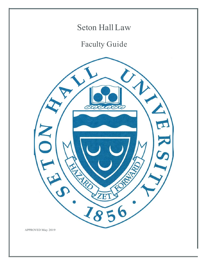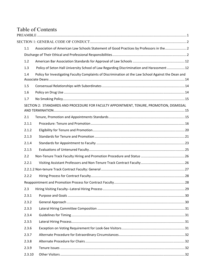# Table of Contents

| 1.1    | Association of American Law Schools Statement of Good Practices by Professors in the  2              |  |
|--------|------------------------------------------------------------------------------------------------------|--|
|        |                                                                                                      |  |
| 1.2    |                                                                                                      |  |
| 1.3    | Policy of Seton Hall University School of Law Regarding Discrimination and Harassment  12            |  |
| 1.4    | Policy for Investigating Faculty Complaints of Discrimination at the Law School Against the Dean and |  |
| 1.5    |                                                                                                      |  |
| 1.6    |                                                                                                      |  |
| 1.7    |                                                                                                      |  |
|        | SECTION 2: STANDARDS AND PROCEDURE FOR FACULTY APPOINTMENT, TENURE, PROMOTION, DISMISSAL             |  |
| 2.1    |                                                                                                      |  |
| 2.1.1  |                                                                                                      |  |
| 2.1.2  |                                                                                                      |  |
| 2.1.3  |                                                                                                      |  |
| 2.1.4  |                                                                                                      |  |
| 2.1.5  |                                                                                                      |  |
| 2.2    |                                                                                                      |  |
| 2.2.1  |                                                                                                      |  |
|        |                                                                                                      |  |
| 2.2.2  |                                                                                                      |  |
|        |                                                                                                      |  |
| 2.3    |                                                                                                      |  |
| 2.3.1  |                                                                                                      |  |
| 2.3.2  |                                                                                                      |  |
| 2.3.3  |                                                                                                      |  |
| 2.3.4  |                                                                                                      |  |
| 2.3.5  |                                                                                                      |  |
| 2.3.6  |                                                                                                      |  |
| 2.3.7  |                                                                                                      |  |
| 2.3.8  |                                                                                                      |  |
| 2.3.9  |                                                                                                      |  |
| 2.3.10 |                                                                                                      |  |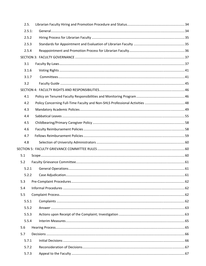|     | 2.5.   |  |  |  |
|-----|--------|--|--|--|
|     | 2.5.1: |  |  |  |
|     | 2.5.2  |  |  |  |
|     | 2.5.3  |  |  |  |
|     | 2.5.4  |  |  |  |
|     |        |  |  |  |
|     | 3.1    |  |  |  |
|     | 3.1.6  |  |  |  |
|     | 3.1.7  |  |  |  |
|     | 3.2    |  |  |  |
|     |        |  |  |  |
|     | 4.1    |  |  |  |
|     | 4.2    |  |  |  |
|     | 4.3    |  |  |  |
|     | 4.4    |  |  |  |
|     | 4.5    |  |  |  |
|     | 4.6    |  |  |  |
|     | 4.7    |  |  |  |
|     | 4.8    |  |  |  |
|     |        |  |  |  |
| 5.1 |        |  |  |  |
| 5.2 |        |  |  |  |
|     | 5.2.1  |  |  |  |
|     | 5.2.2  |  |  |  |
| 5.3 |        |  |  |  |
| 5.4 |        |  |  |  |
| 5.5 |        |  |  |  |
|     | 5.5.1  |  |  |  |
|     | 5.5.2  |  |  |  |
|     | 5.5.3  |  |  |  |
|     | 5.5.4  |  |  |  |
| 5.6 |        |  |  |  |
| 5.7 |        |  |  |  |
|     | 5.7.1  |  |  |  |
|     | 5.7.2  |  |  |  |
|     | 5.7.3  |  |  |  |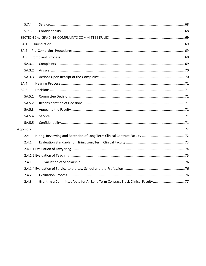| 5.7.4   |                                                                               |  |
|---------|-------------------------------------------------------------------------------|--|
| 5.7.5   |                                                                               |  |
|         |                                                                               |  |
| 5A.1    |                                                                               |  |
| 5A.2    |                                                                               |  |
| 5A.3    |                                                                               |  |
| 5A.3.1  |                                                                               |  |
| 5A.3.2  |                                                                               |  |
| 5A.3.3  |                                                                               |  |
| 5A.4    |                                                                               |  |
| 5A.5    |                                                                               |  |
| 5A.5.1  |                                                                               |  |
| 5A.5.2  |                                                                               |  |
| 5A.5.3  |                                                                               |  |
| 5A.5.4  |                                                                               |  |
| 5A.5.5  |                                                                               |  |
|         |                                                                               |  |
| 2.4     |                                                                               |  |
| 2.4.1   |                                                                               |  |
|         |                                                                               |  |
|         |                                                                               |  |
| 2.4.1.3 |                                                                               |  |
|         |                                                                               |  |
| 2.4.2   |                                                                               |  |
| 2.4.3   | Granting a Committee Vote for All Long Term Contract Track Clinical Faculty77 |  |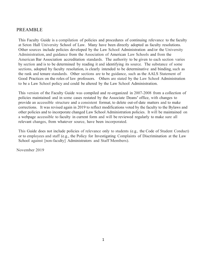## PREAMBLE

This Faculty Guide is a compilation of policies and procedures of continuing relevance to the faculty at Seton Hall University School of Law. Many have been directly adopted as faculty resolutions. Other sources include policies developed by the Law School Administration and/or the University Administration, and guidance from the Association of American Law Schools and from the American Bar Association accreditation standards. The authority to be given to each section varies by section and is to be determined by reading it and identifying its source. The substance of some sections, adopted by faculty resolution, is clearly intended to be determinative and binding, such as the rank and tenure standards. Other sections are to be guidance, such as the AALS Statement of Good Practices on the roles of law professors. Others are stated by the Law School Administration to be a Law School policy and could be altered by the Law School Administration.

This version of the Faculty Guide was compiled and re-organized in 2007-2008 from a collection of policies maintained and in some cases restated by the Associate Deans' office, with changes to provide an accessible structure and a consistent format, to delete out-of-date matters and to make corrections. It was revised again in 2019 to reflect modifications voted by the faculty to the Bylaws and other policies and to incorporate changed Law School Administration policies. It will be maintained on a webpage accessible to faculty in current form and will be reviewed regularly to make sure all relevant changes, from whatever source, have been incorporated.

This Guide does not include policies of relevance only to students (e.g., the Code of Student Conduct) or to employees and staff (e.g., the Policy for Investigating Complaints of Discrimination at the Law School against [non-faculty] Administrators and Staff Members).

November 2019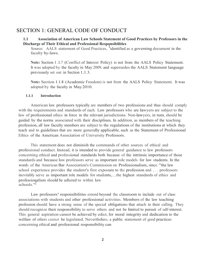# SECTION 1: GENERAL CODE OF CONDUCT

## **1.1 Association of American Law Schools Statement of Good Practices by Professors in the Discharge of Their Ethical and Professional Responsibilities**

Source: AALS statement of Good Practices, identified as a governing document in the faculty by-laws.

**Note:** Section 1 .1.7 (Conflict of Interest Policy) is not from the AALS Policy Statement. It was adopted by the faculty in May 2009, and supersedes the AALS Statement language previously set out in Section 1.1.3.

**Note:** Section 1.1.8 (Academic Freedom) is not from the AALS Policy Statement. It was adopted by the faculty in May 2010.

#### **1.1.1 Introduction**

American law professors typically are members of two professions and thus should comply with the requirements and standards of each. Law professors who are lawyers are subject to the law of professional ethics in force in the relevant jurisdictions. Non-lawyers, in tum, should be guided by the norms associated with their disciplines. In addition, as members of the teaching profession, all law faculty members are subject to the regulations of the institutions at which they teach and to guidelines that are more generally applicable, such as the Statement of Professional Ethics of the American Association of University Professors.

This statement does not diminish the commands of other sources of ethical and professional conduct. Instead, it is intended to provide general guidance to law professors concerning ethical and professional standards both because of the intrinsic importance of those standards and because law professors serve as important role models for law students. In the words of the American Bar Association's Commission on Professionalism, since "the law school experience provides the student's first exposure to the profession and . . . professors inevitably serve as important role models for students,…the highest standards of ethics and professionalism should be adhered to within law schools. $12$ 

Law professors' responsibilities extend beyond the classroom to include out of class associations with students and other professional activities. Members of the law teaching profession should have a strong sense of the special obligations that attach to their calling. They should recognize their responsibility to serve others and not be limited to pursuit of self-interest. This general aspiration cannot be achieved by edict, for moral integrity and dedication to the welfare of others cannot be legislated. Nevertheless, a public statement of good practices concerning ethical and professional responsibility can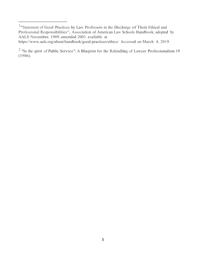<sup>1&</sup>quot;Statement of Good Practices by Law Professors in the Discharge of Their Ethical and Professional Responsibilities", Association of American Law Schools Handbook, adopted by AALS November, 1989, amended 2003, available at

https://www.aals.org/about/handbook/good-practices/ethics/ Accessed on March 4, 2019.

<sup>2 &</sup>quot;In the spirit of Public Service": A Blueprint for the Rekindling of Lawyer Professionalism 19 (1986).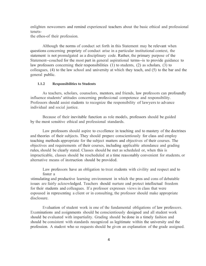enlighten newcomers and remind experienced teachers about the basic ethical and professional tenets-

the ethos-of their profession.

Although the norms of conduct set forth in this Statement may be relevant when questions concerning propriety of conduct arise in a particular institutional context, the statement is not promulgated as a disciplinary code. Rather, the primary purpose of the Statement--couched for the most part in general aspirational terms--is to provide guidance to law professors concerning their responsibilities (1) to students, (2) as scholars, (3) to colleagues, (4) to the law school and university at which they teach, and (5) to the bar and the general public.

## **1.1.2 Responsibilities to Students**

As teachers, scholars, counselors, mentors, and friends, law professors can profoundly influence students' attitudes concerning professional competence and responsibility. Professors should assist students to recognize the responsibility of lawyers to advance individual and social justice.

Because of their inevitable function as role models, professors should be guided by the most sensitive ethical and professional standards.

Law professors should aspire to excellence in teaching and to mastery of the doctrines and theories of their subjects. They should prepare conscientiously for class and employ teaching methods appropriate for the subject matters and objectives of their courses. The objectives and requirements of their courses, including applicable attendance and grading rules, should be clearly stated. Classes should be met as scheduled or, when this is impracticable, classes should be rescheduled at a time reasonably convenient for students, or alternative means of instruction should be provided.

Law professors have an obligation to treat students with civility and respect and to foster a

ꞏstimulating and productive learning environment in which the pros and cons of debatable issues are fairly acknowledged. Teachers should nurture and protect intellectual freedom for their students and colleagues. If a professor expresses views in class that were espoused in representing a client or in consulting, the professor should make appropriate disclosure.

Evaluation of student work is one of the fundamental obligations of law professors. Examinations and assignments should be conscientiously designed and all student work should be evaluated with impartiality. Grading should be done in a timely fashion and should be consistent with standards recognized as legitimate within the university and the profession. A student who so requests should be given an explanation of the grade assigned.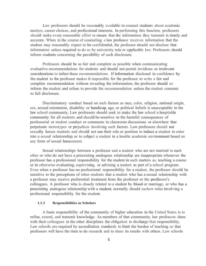Law professors should be reasonably available to counsel students about academic matters, career choices, and professional interests. In performing this function, professors should make every reasonable effort to ensure that the information they transmit is timely and accurate. When in the course of counseling a law professor receives information that the student may reasonably expect to be confidential, the professor should not disclose that information unless required to do so by university rule or applicable law. Professors should inform students concerning the possibility of such disclosure.

Professors should be as fair and complete as possible when communicating evaluative recommendations for students and should not permit invidious or irrelevant considerations to infect these recommendations. If information disclosed in confidence by the student to the professor makes it impossible for the professor to write a fair and complete recommendation without revealing the information, the professor should so inform the student and refuse to provide the recommendation unless the student consents to full disclosure.

Discriminatory conduct based on such factors as race, color, religion, national origin, sex, sexual orientation, disability or handicap, age, or political beliefs is unacceptable in the law school community. Law professors should seek to make the law school a hospitable community for all students and should be sensitive to the harmful consequences of professorial or student conduct or comments in classroom discussions or elsewhere that perpetuate stereotypes or prejudices involving such factors. Law professors should not sexually harass students and should not use their role or position to induce a student to enter into a sexual relationship, or to subject a student to a hostile academic environment based on any form of sexual harassment.

Sexual relationships between a professor and a student who are not married to each other or who do not have a preexisting analogous relationship are inappropriate whenever the professor has a professional responsibility for the student in such matters as, teaching a course or in otherwise evaluating, supervising, or advising a student as part of a school program. Even when a professor has no professional responsibility for a student, the professor should be sensitive to the perceptions of other students that a student who has a sexual relationship with a professor may receive preferential treatment from the professor or the professor's colleagues. A professor who is closely related to a student by blood or marriage, or who has a preexisting analogous relationship with a student, normally should eschew roles involving a professional responsibility for the student.

#### **1.1.3 Responsibilities as Scholars**

A basic responsibility of the community of higher education in the United States is to refine, extend, and transmit knowledge. As members of that community, law professors share with their colleagues in the other disciplines the obligation to discharge that responsibility. Law schools are required by accreditation standards to limit the burden of teaching so that professors will have the time to do research and to share its results with others. Law schools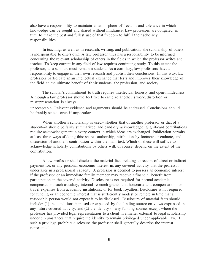also have a responsibility to maintain an atmosphere of freedom and tolerance in which knowledge can be sought and shared without hindrance. Law professors are obligated, in tum, to make the best and fullest use of that freedom to fulfill their scholarly responsibilities.

In teaching, as well as in research, writing, and publication, the scholarship of others is indispensable to one's own. A law professor thus has a responsibility to be informed concerning the relevant scholarship of others in the fields in which the professor writes and teaches. To keep current in any field of law requires continuing study. To this extent the professor, as a scholar, must remain a student. As a corollary, law professors have a responsibility to engage in their own research and publish their conclusions. In this way, law professors participate in an intellectual exchange that tests and improves their knowledge of the field, to the ultimate benefit of their students, the profession, and society.

The scholar's commitment to truth requires intellectual honesty and open-mindedness. Although a law professor should feel free to criticize another's work, distortion or misrepresentation is always

unacceptable. Relevant evidence and arguments should be addressed. Conclusions should be frankly stated, even if unpopular.

When another's scholarship is used--whether that of another professor or that of a student--it should be fairly summarized and candidly acknowledged. Significant contributions require acknowledgement in every context in which ideas are exchanged. Publication permits at least three ways of doing this: shared authorship, attribution by footnote or endnote, and discussion of another's contribution within the main text. Which of these will suffice to acknowledge scholarly contributions by others will, of course, depend on the extent of the contribution.

A law professor shall disclose the material facts relating to receipt of direct or indirect payment for, or any personal economic interest in, any covered activity that the professor undertakes in a professorial capacity. A professor is deemed to possess an economic interest if the professor or an immediate family member may receive a financial benefit from participation in the covered activity. Disclosure is not required for normal academic compensation, such as salary, internal research grants, and honoraria and compensation for travel expenses from academic institutions, or for book royalties. Disclosure is not required for funding or an economic interest that is sufficiently modest or remote in time that a reasonable person would not expect it to be disclosed. Disclosure of material facts should include: (1) the conditions imposed or expected by the funding source on views expressed in any future covered activity; and (2) the identity of any funding source, except where the professor has provided legal representation to a client in a matter external to legal scholarship under circumstances that require the identity to remain privileged under applicable law. If such a privilege prohibits disclosure the professor shall generally describe the interest represented.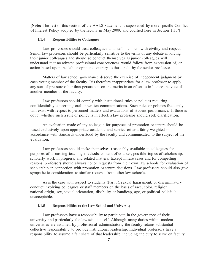**[Note:** The rest of this section of the AALS Statement is superseded by more specific Conflict of Interest Policy adopted by the faculty in May 2009, and codified here in Section 1.1.7**]**

#### **1.1.4 Responsibilities to Colleagues**

Law professors should treat colleagues and staff members with civility and respect. Senior law professors should be particularly sensitive to the terms of any debate involving their junior colleagues and should so conduct themselves as junior colleagues will understand that no adverse professional consequences would follow from expression of, or action based upon, beliefs or opinions contrary to those held by the senior professor.

Matters of law school governance deserve the exercise of independent judgment by each voting member of the faculty. It is therefore inappropriate for a law professor to apply any sort of pressure other than persuasion on the merits in an effort to influence the vote of another member of the faculty.

Law professors should comply with institutional rules or policies requiring confidentiality concerning oral or written communications. Such rules or policies frequently will exist with respect to personnel matters and evaluations of student performance. If there is doubt whether such a rule or policy is in effect, a law professor should seek clarification.

An evaluation made of any colleague for purposes of promotion or tenure should be based exclusively upon appropriate academic and service criteria fairly weighted in accordance with standards understood by the faculty and communicated to the subject of the evaluation.

Law professors should make themselves reasonably available to colleagues for purposes of discussing teaching methods, content of courses, possible topics of scholarship, scholarly work in progress, and related matters. Except in rare cases and for compelling reasons, professors should always honor requests from their own law schools for evaluation of scholarship in connection with promotion or tenure decisions. Law professors should also give sympathetic consideration to similar requests from other law schools.

As is the case with respect to students (Part 1), sexual harassment, or discriminatory conduct involving colleagues or staff members on the basis of race, color, religion, national origin, sex, sexual orientation, disability or handicap, age, or political beliefs is unacceptable.

#### **1.1.5 Responsibilities to the Law School and University**

Law professors have a responsibility to participate in the governance of their university and particularly the law school itself. Although many duties within modem universities are assumed by professional administrators, the faculty retains substantial collective responsibility to provide institutional leadership. Individual professors have a responsibility to assume a fair share of that leadership, including the duty to serve on faculty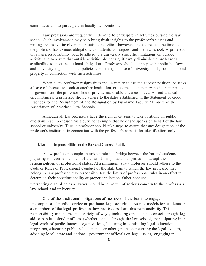committees and to participate in faculty deliberations.

Law professors are frequently in demand to participate in activities outside the law school. Such involvement may help bring fresh insights to the professor's classes and writing. Excessive involvement in outside activities, however, tends to reduce the time that the professor has to meet obligations to students, colleagues, and the law school. A professor thus has a responsibility both to adhere to a university's specific limitations on outside activity and to assure that outside activities do not significantly diminish the professor's availability to meet institutional obligations. Professors should comply with applicable laws and university regulations and policies concerning the use of university funds, personnel, and property in connection with such activities.

When a law professor resigns from the university to assume another position, or seeks a leave of absence to teach at another institution, or assumes a temporary position in practice or government, the professor should provide reasonable advance notice. Absent unusual circumstances, a professor should adhere to the dates established in the Statement of Good Practices for the Recruitment of and Resignation by Full-Time Faculty Members of the Association of American Law Schools.

Although all law professors have the right as citizens to take positions on public questions, each professor has a duty not to imply that he or she speaks on behalf of the law school or university. Thus, a professor should take steps to assure that any designation of the professor's institution in connection with the professor's name is for identification only.

#### **1.1.6 Responsibilities to the Bar and General Public**

A law professor occupies a unique role as a bridge between the bar and students preparing to become members of the bar. It is important that professors accept the responsibilities of professional status. At a minimum, a law professor should adhere to the Code or Rules of Professional Conduct of the state bars to which the law professor may belong. A law professor may responsibly test the limits of professional rules in an effort to determine their constitutionality or proper application. Other conduct warranting discipline as a lawyer should be a matter of serious concern to the professor's law school and university.

One of the traditional obligations of members of the bar is to engage in uncompensated public service or pro bono legal activities. As role models for students and as members of the legal profession, law professors share this responsibility. This responsibility can be met in a variety of ways, including direct client contact through legal aid or public defender offices (whether or not through the law school), participating in the legal work of public interest organizations, lecturing in continuing legal education programs, educating public school pupils or other groups concerning the legal system, advising local, state and national government officials on legal issues, engaging in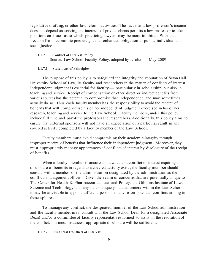legislative drafting, or other law reform activities. The fact that a law professor's income does not depend on serving the interests of private clients permits a law professor to take positions on issues as to which practicing lawyers may be more inhibited. With that freedom from economic pressure goes an enhanced obligation to pursue individual and social justice.

#### **1.1.7 Conflict of Interest Policy**

Source: Law School Faculty Policy, adopted by resolution, May 2009

#### **1.1.7.1 Statement of Principles**

The purpose of this policy is to safeguard the integrity and reputation of Seton Hall University School of Law, its faculty and researchers in the matter of conflicts of interest. The purpose of this policy is to safeguard the integrity and reputation of Seton Ha<br>University School of Law, its faculty and researchers in the matter of conflicts of intered<br>Independent judgment is essential for faculty teaching and service. Receipt of compensation or other direct or indirect benefits from various sources has the potential to compromise that independence, and may sometimes actually do so. Thus, each faculty member has the responsibility to avoid the receipt of benefits that will compromise his or her independent judgment exercised in his or her research, teaching and service to the Law School. Faculty members, under this policy, include full time and part-time professors and researchers. Additionally, this policy aims to ensure that external sponsors will not have an expectation of a particular result in any covered activity completed by a faculty member of the Law School.

Faculty members must avoid compromising their academic integrity through improper receipt of benefits that influence their independent judgment. Moreover, they must appropriately manage appearances of conflicts of interest by disclosure of the receipt of benefits.

When a faculty member is unsure about whether a conflict of interest requiring disclosure of benefits in regard to a covered activity exists, the faculty member should consult with a member of the administration designated by the administration as the conflicts management officer. Given the realm of concerns that are potentially unique to The Center for Health & Pharmaceutical Law and Policy, the Gibbons Institute of Law, Science and Technology, and any other uniquely situated centers within the Law School, it may be advisable to appoint different persons to advise on potential conflicts arising in those spheres.

To manage any conflict, the designated member of the Law School administration and the faculty member may consult with the Law School Dean (or a designated Associate Dean) and/or a committee of faculty representatives formed to assist in the resolution of the conflict. In most instances, appropriate disclosure will be sufficient.

#### **1.1.7.2 Financial Conflicts of Interest**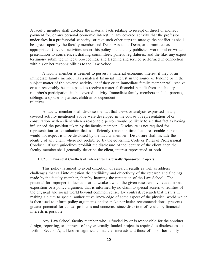A faculty member shall disclose the material facts relating to receipt of direct or indirect payment for, or any personal economic interest in, any covered activity that the professor undertakes in a professorial capacity, or take such other steps to manage the conflict as shall be agreed upon by the faculty member and Dean, Associate Dean, or committee, as appropriate. Covered activities under this policy include any published work, oral or written presentation to conferences, drafting committees, panels, legislatures, and the like, any expert testimony submitted in legal proceedings, and teaching and service performed in connection with his or her responsibilities to the Law School.

A faculty member is deemed to possess a material economic interest if they or an immediate family member has a material financial interest in the source of funding or in the subject matter of the covered activity, or if they or an immediate family member will receive or can reasonably be anticipated to receive a material financial benefit from the faculty member's participation in the covered activity. Immediate family members include parents, siblings, a spouse or partner, children or dependent relatives.

A faculty member shall disclose the fact that views or analysis expressed in any covered activity mentioned above were developed in the course of representation of or consultation with a client when a reasonable person would be likely to see that fact as having influenced the position taken by the faculty member. Disclosure is not required for representation or consultation that is sufficiently remote in time that a reasonable person would not expect it to be disclosed by the faculty member. Disclosure shall include the identity of any client where not prohibited by the governing Code or Rules of Professional Conduct. If such guidelines prohibit the disclosure of the identity of the client, then the faculty member shall generally describe the client, interest represented or both.

#### **1.1.7.3 Financial Conflicts of Interest for Externally Sponsored Projects**

This policy is aimed to avoid distortion of research results as well as address challenges that call into question the credibility and objectivity of the research and findings made by the faculty member, thereby harming the reputation of the Law School. The potential for improper influence is at its weakest when the given research involves doctrinal exposition or a policy argument that is informed by no claim to special access to realities of the physical and social world beyond common sense. By contrast, research that results in making a claim to special authoritative knowledge of some aspect of the physical world which is then used to inform policy arguments and/or make particular recommendations, presents greater potential for ethical problems and concerns, since distortion of results by financial interests is possible.

Any Law School faculty member who is funded by or is responsible for the conduct, design, reporting, or approval of any externally funded project is required to disclose, as set forth in Section A, all known significant financial interests and those of his or her family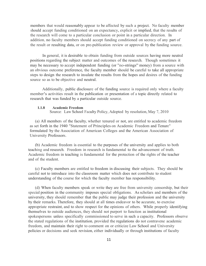members that would reasonably appear to be affected by such a project. No faculty member should accept funding conditioned on an expectancy, explicit or implied, that the results of the research will come to a particular conclusion or point in a particular direction. In addition, no faculty members should accept funding conditioned on secrecy of any part of the result or resulting data, or on pre-publication review or approval by the funding source.

In general, it is desirable to obtain funding from outside sources having more neutral positions regarding the subject matter and outcomes of the research. Though sometimes it may be necessary to accept independent funding (or "no-strings"money) from a source with an obvious outcome preference, the faculty member should be careful to take all appropriate steps to design the research to insulate the results from the hopes and desires of the funding source so as to be objective and neutral.

Additionally, public disclosure of the funding source is required only where a faculty member's activities result in the publication or presentation of a topic directly related to research that was funded by a particular outside source.

#### **1.1.8 Academic Freedom**

Source: Law School Faculty Policy, Adopted by resolution, May 7, 2010

(a) All members of the faculty, whether tenured or not, are entitled to academic freedom as set forth in the 1940 "Statement of Principles on Academic Freedom and Tenure" formulated by the Association of American Colleges and the American Association of University Professors.

(b) Academic freedom is essential to the purposes of the university and applies to both teaching and research. Freedom in research is fundamental to the advancement of truth. Academic freedom in teaching is fundamental for the protection of the rights of the teacher and of the student.

(c) Faculty members are entitled to freedom in discussing their subjects. They should be careful not to introduce into the classroom matter which does not contribute to student understanding of the course for which the faculty member has responsibility.

(d) When faculty members speak or write they are free from university censorship, but their special position in the community imposes special obligations. As scholars and members of the university, they should remember that the public may judge their profession and the university by their remarks. Therefore, they should at all times endeavor to be accurate, to exercise appropriate restraint, and to show respect for the opinions of others. While properly identifying themselves to outside audiences, they should not purport to function as institutional spokespersons unless specifically commissioned to serve in such a capacity. Professors observe the stated regulations of the institution, provided the regulations do not contravene academic freedom, and maintain their right to comment on or criticize Law School and University policies or decisions and seek revision, either individually or through institutions of faculty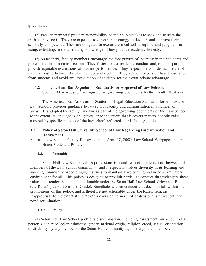governance.

(e) Faculty members' primary responsibility to their subject(s) is to seek and to state the truth as they see it. They are expected to devote their energy to develop and improve their scholarly competence. They are obligated to exercise critical self-discipline and judgment in using, extending, and transmitting knowledge. They practice academic honesty.

(f) As teachers, faculty members encourage the free pursuit of learning in their students and protect student academic freedom. They foster honest academic conduct and, on their part, provide equitable evaluations of student performance. They respect the confidential nature of the relationship between faculty member and student. They acknowledge significant assistance from students and avoid any exploitation of students for their own private advantage.

#### **1.2 American Bar Association Standards for Approval of Law Schools**

Source: ABA website, $3$  recognized as governing documents by the Faculty By-Laws.

The American Bar Association Section on Legal Education Standards for Approval of Law Schools provides guidance to law school faculty and administration in a number of areas. It is adopted by faculty By-laws as part of the governing documents of the Law School to the extent its language is obligatory, or to the extent that it covers matters not otherwise covered by specific policies of the law school reflected in this faculty guide.

## **1.3 Policy of Seton Hall University School of Law Regarding Discrimination and Harassment**

Source: Law School Faculty Policy, adopted April 18, 2008; Law School Webpage, under Honor Code and Policies

#### **1.3.1 Preamble**

Seton Hall Law School values professionalism and respect in interactions between all members of the Law School community, and it especially values diversity in its learning and working community. Accordingly, it strives to maintain a welcoming and nondiscriminatory environment for all. This policy is designed to prohibit particular conduct that endangers these values and render that conduct actionable under the Seton Hall Law School Grievance Rules (the Rules) (see Part 5 of this Guide). Nonetheless, even conduct that does not fall within the prohibitions of this policy, and is therefore not actionable under the Rules, remains inappropriate to the extent it violates this overarching norm of professionalism, respect, and nondiscrimination.

#### **1.3.2 Policy**

(a) Seton Hall Law School prohibits discrimination, including harassment, on account of a person's age, race, color, ethnicity, gender, national origin, religion, creed, sexual orientation, or disability by any member of the Seton Hall community against any other member.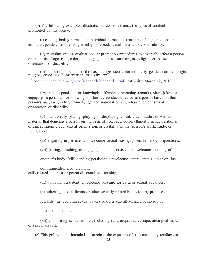(b) The following examples illustrate, but do not exhaust, the types of conduct prohibited by this policy:

(i) causing bodily harm to an individual because of that person's age, race, color, ethnicity, gender, national origin, religion, creed, sexual orientation, or disability;

(ii) misusing grades, evaluations, or promotion procedures to adversely affect a person on the basis of age, race, color, ethnicity, gender, national origin, religion, creed, sexual orientation, or disability;

(iii) not hiring a person on the basis of age, race, color, ethnicity, gender, national origin, religion, creed, sexual orientation, or disability;

<sup>3</sup>*See* www.abanet.org/legaled/standards/standards.html, last visited March 12, 2019.

(iv) making persistent or knowingly offensive demeaning remarks, slurs, jokes, or engaging in persistent or knowingly offensive conduct directed at a person based on that person's age, race, color, ethnicity, gender, national origin, religion, creed, sexual orientation, or disability;

(v) intentionally placing, playing, or displaying visual, video, audio, or written material that demeans a person on the basis of age, race, color, ethnicity, gender, national origin, religion, creed, sexual orientation, or disability in that person's work, study, or living area;

(vi) engaging in persistent, unwelcome sexual teasing, jokes, remarks, or questions;

(vii) patting, pinching, or engaging in other persistent, unwelcome touching of

another's body; (viii) sending persistent, unwelcome letters, emails, other on-line

communications, or telephone

calls related to a past or potential sexual relationship;

(ix) applying persistent, unwelcome pressure for dates or sexual advances;

(x) soliciting sexual favors or other sexually-related behavior by promise of

rewards; (xi) coercing sexual favors or other sexually-related behavior by

threat or punishment;

(xii) committing sexual crimes, including rape, acquaintance rape, attempted rape, or sexual assault.

(c) This policy is not intended to foreclose the exposure of students to any readings or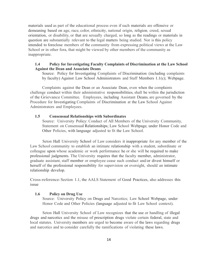materials used as part of the educational process even if such materials are offensive or demeaning based on age, race, color, ethnicity, national origin, religion, creed, sexual orientation, or disability, or that are sexually charged, so long as the readings or materials in question are substantially relevant to the legal matters being studied. Nor is this policy intended to foreclose members of the community from expressing political views at the Law School or in other fora, that might be viewed by other members of the community as inappropriate.

## **1.4 Policy for Investigating Faculty Complaints of Discrimination at the Law School Against the Dean and Associate Deans**

Source: Policy for Investigating Complaints of Discrimination (including complaints by faculty) Against Law School Administrators and Staff Members 1.1(c); Webpage.

Complaints against the Dean or an Associate Dean, even when the complaints challenge conduct within their administrative responsibilities, shall be within the jurisdiction of the Grievance Committee. Employees, including Assistant Deans, are governed by the Procedure for Investigating Complaints of Discrimination at the Law School Against Administrators and Employees.

## **1.5 Consensual Relationships with Subordinates**

Source: University Policy: Conduct of All Members of the University Community, Statement on Consensual Relationships; Law School Webpage, under Honor Code and Other Policies, with language adjusted to fit the Law School.

Seton Hall University School of Law considers it inappropriate for any member of the Law School community to establish an intimate relationship with a student, subordinate or colleague upon whose academic or work performance he or she will be required to make professional judgments. The University requires that the faculty member, administrator, graduate assistant, staff member or employee cease such conduct and/or divest himself or herself of the professional responsibility for supervision or oversight, should an intimate relationship develop.

Cross-reference: Section 1.1, the AALS Statement of Good Practices, also addresses this issue

## **1.6 Policy on Drug Use**

Source: University Policy on Drugs and Narcotics; Law School Webpage, under Honor Code and Other Policies (language adjusted to fit Law School context).

Seton Hall University School of Law recognizes that the use or handling of illegal drugs and narcotics and the misuse of prescription drugs violate certain federal, state and local statutes. University members are urged to become aware of the laws regarding drugs and narcotics and to consider carefully the ramifications of violating these laws.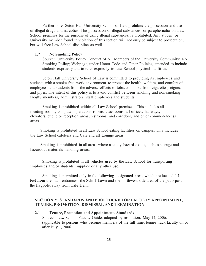Furthermore, Seton Hall University School of Law prohibits the possession and use of illegal drugs and narcotics. The possession of illegal substances, or paraphernalia on Law School premises for the purpose of using illegal substances, is prohibited. Any student or University member found in violation of this section will not only be subject to prosecution, but will face Law School discipline as well.

#### **1.7 No Smoking Policy**

Source: University Policy Conduct of All Members of the University Community: No Smoking Policy; Webpage, under Honor Code and Other Policies, amended to include students expressly and to refer expressly to Law School physical facilities.

Seton Hall University School of Law is committed to providing its employees and students with a smoke-free work environment to protect the health, welfare, and comfort of employees and students from the adverse effects of tobacco smoke from cigarettes, cigars, and pipes. The intent of this policy is to avoid conflict between smoking and non-smoking faculty members, administrators, staff employees and students.

Smoking is prohibited within all Law School premises. This includes all meeting rooms, computer operations rooms, classrooms, all offices, hallways, elevators, public or reception areas, restrooms, and corridors, and other common-access areas.

Smoking is prohibited in all Law School eating facilities on campus. This includes the Law School cafeteria and Cafe and all Lounge areas.

Smoking is prohibited in all areas where a safety hazard exists, such as storage and hazardous materials handling areas.

Smoking is prohibited in all vehicles used by the Law School for transporting employees and/or students, supplies or any other use.

Smoking is permitted only in the following designated areas which are located 15 feet from the main entrances: the Schiff Lawn and the northwest side area of the patio past the flagpole, away from Cafe Deni.

## **SECTION 2: STANDARDS AND PROCEDURE FOR FACULTY APPOINTMENT, TENURE, PROMOTION, DISMISSAL AND TERMINATION**

## **2.1 Tenure, Promotion and Appointments Standards**

Source: Law School Faculty Guide, adopted by resolution, May 12, 2006. (applicable to persons who become members of the full time, tenure track faculty on or after July 1, 2006.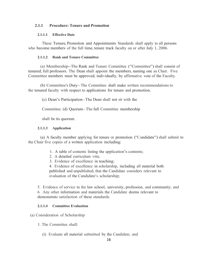## **2.1.1 Procedure: Tenure and Promotion**

## **2.1.1.1 Effective Date**

These Tenure, Promotion and Appointments Standards shall apply to all persons who become members of the full time, tenure track faculty on or after July 1, 2006.

## **2.1.1.2 Rank and Tenure Committee**

(a) Membership--The Rank and Tenure Committee ("Committee") shall consist of tenured, full professors. The Dean shall appoint the members, naming one as Chair. Five Committee members must be approved, individually, by affirmative vote of the Faculty.

(b) Committee's Duty-The Committee shall make written recommendations to the tenured faculty with respect to applications for tenure and promotion.

(c) Dean's Participation-The Dean shall not sit with the

Committee. (d) Quorum-The full Committee membership

shall be its quorum.

## **2.1.1.3 Application**

(a) A faculty member applying for tenure or promotion ("Candidate") shall submit to the Chair five copies of a written application including:

- 1. A table of contents listing the application's contents;
- 2. A detailed curriculum vita;
- 3. Evidence of excellence in teaching;

4. Evidence of excellence in scholarship, including all material both published and unpublished, that the Candidate considers relevant to evaluation of the Candidate's scholarship;

5. Evidence of service to the law school, university, profession, and community; and 6. Any other information and materials the Candidate deems relevant to demonstrate satisfaction of these standards.

## **2.1.1.4 Committee Evaluation**

(a) Consideration of Scholarship

- 1. The Committee shall:
	- (i) Evaluate all material submitted by the Candidate; and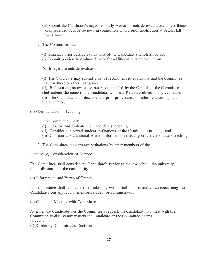(ii) Submit the Candidate's major scholarly works for outside evaluation, unless those works received outside reviews in connection with a prior application at Seton Hall Law School.

2. The Committee may:

(i) Consider prior outside evaluations of the Candidate's scholarship; and (ii) Submit previously evaluated work for additional outside evaluation.

3. With regard to outside evaluations:

(i) The Candidate may submit a list of recommended evaluators and the Committee may use these or other evaluators.

(ii) Before using an evaluator not recommended by the Candidate, the Committee shall submit the name to the Candidate, who may for cause object to any evaluator. (iii) The Candidate shall disclose any prior professional or other relationship with the evaluator.

(b) Consideration of Teaching

- 1. The Committee shall:
	- (i) Observe and evaluate the Candidate's teaching.
	- (ii) Consider authorized student evaluations of the Candidate's teaching; and
	- (iii) Consider any additional written information reflecting on the Candidate's teaching.
- 2. The Committee may arrange visitations by other members of the

Faculty. (c) Consideration of Service

The Committee shall consider the Candidate's service to the law school, the university, the profession, and the community.

(d) Information and Views of Others

The Committee shall receive and consider any written information and views concerning the Candidate from any faculty member, student or administrator.

(e) Candidate Meeting with Committee

At either the Candidate's or the Committee's request, the Candidate may meet with the Committee to discuss any matters the Candidate or the Committee deems relevant.

(f) Disclosing Committee's Decision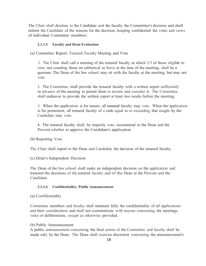The Chair shall disclose to the Candidate and the faculty the Committee's decision and shall inform the Candidate of the reasons for the decision, keeping confidential the votes and views of individual Committee members.

## **2.1.1.5 Faculty and Dean Evaluation**

(a) Committee Report; Tenured Faculty Meeting and Vote

1. The Chair shall call a meeting of the tenured faculty at which 2/3 of those eligible to vote, not counting those on sabbatical or leave at the time of the meeting, shall be a quorum. The Dean of the law school may sit with the faculty at the meeting, but may not vote.

2. The Committee shall provide the tenured faculty with a written report sufficiently in advance of the meeting to permit them to review and consider it. The Committee shall endeavor to provide the written report at least two weeks before the meeting.

3. When the application is for tenure, all tenured faculty may vote. When the application is for promotion, all tenured faculty of a rank equal to or exceeding that sought by the Candidate may vote.

4. The tenured faculty shall, by majority vote, recommend to the Dean and the Provost whether to approve the Candidate's application.

(b) Reporting Vote

The Chair shall report to the Dean and Candidate the decision of the tenured faculty.

(c) Dean's Independent Decision

The Dean of the law school shall make an independent decision on the application and transmit the decisions of the tenured faculty and of the Dean to the Provost and the Candidate.

## **2.1.1.6 Confidentiality; Public Announcement**

(a) Confidentiality

Committee members and faculty shall maintain fully the confidentiality of all applications and their consideration and shall not communicate with anyone concerning the meetings, votes or deliberations, except as otherwise provided.

### (b) Public Announcement

A public announcement concerning the final action of the Committee and faculty shall be made only by the Dean. The Dean shall exercise discretion concerning the announcement's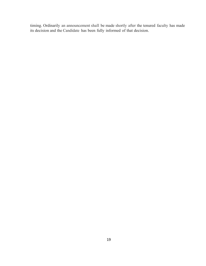timing. Ordinarily an announcement shall be made shortly after the tenured faculty has made its decision and the Candidate has been fully informed of that decision.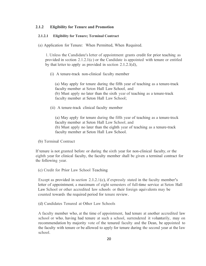#### **2.1.2 Eligibility for Tenure and Promotion**

#### **2.1.2.1 Eligibility for Tenure; Terminal Contract**

(a) Application for Tenure: When Permitted, When Required.

1. Unless the Candidate's letter of appointment grants credit for prior teaching as provided in section 2.1.2.1(c ) or the Candidate is appointed with tenure or entitled by that letter to apply as provided in section 2.1.2.l(d),

(i) A tenure-track non-clinical faculty member

(a) May apply for tenure during the fifth year of teaching as a tenure-track faculty member at Seton Hall Law School, and (b) Must apply no later than the sixth year of teaching as a tenure-track faculty member at Seton Hall Law School;

(ii) A tenure-track clinical faculty member

(a) May apply for tenure during the fifth year of teaching as a tenure-track faculty member at Seton Hall Law School, and (b) Must apply no later than the eighth year of teaching as a tenure-track faculty member at Seton Hall Law School.

(b) Terminal Contract

If tenure is not granted before or during the sixth year for non-clinical faculty, or the eighth year for clinical faculty, the faculty member shall be given a terminal contract for the following year.

(c) Credit for Prior Law School Teaching

Except as provided in section 2.1.2.1(c), if expressly stated in the faculty member's letter of appointment, a maximum of eight semesters of full-time service at Seton Hall Law School or other accredited law schools or their foreign equivalents may be counted towards the required period for tenure review.

(d) Candidates Tenured at Other Law Schools

A faculty member who, at the time of appointment, had tenure at another accredited law school or who, having had tenure at such a school, surrendered it voluntarily, may on recommendation by majority vote of the tenured faculty and the Dean, be appointed to the faculty with tenure or be allowed to apply for tenure during the second year at the law school.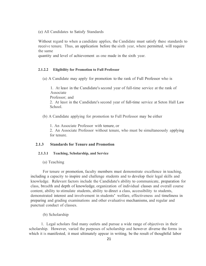(e) All Candidates to Satisfy Standards

Without regard to when a candidate applies, the Candidate must satisfy these standards to receive tenure. Thus, an application before the sixth year, where permitted, will require the same

quantity and level of achievement as one made in the sixth year.

#### **2.1.2.2 Eligibility for Promotion to Full Professor**

(a) A Candidate may apply for promotion to the rank of Full Professor who is

1. At least in the Candidate's second year of full-time service at the rank of Associate Professor; and 2. At least in the Candidate's second year of full-time service at Seton Hall Law School.

(b) A Candidate applying for promotion to Full Professor may be either

1. An Associate Professor with tenure, or

2. An Associate Professor without tenure, who must be simultaneously applying for tenure.

## **2.1.3 Standards for Tenure and Promotion**

#### **2.1.3.1 Teaching, Scholarship, and Service**

(a) Teaching

For tenure or promotion, faculty members must demonstrate excellence in teaching, including a capacity to inspire and challenge students and to develop their legal skills and knowledge. Relevant factors include the Candidate's ability to communicate, preparation for class, breadth and depth of knowledge, organization of individual classes and overall course content, ability to stimulate students, ability to direct a class, accessibility to students, demonstrated interest and involvement in students' welfare, effectiveness and timeliness in preparing and grading examinations and other evaluative mechanisms, and regular and punctual conduct of classes.

(b) Scholarship

1. Legal scholars find many outlets and pursue a wide range of objectives in their scholarship. However, varied the purposes of scholarship and however diverse the forms in which it is manifested, it must ultimately appear in writing, be the result of thoughtful labor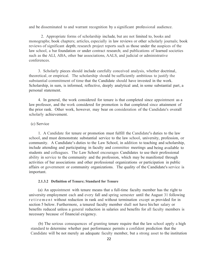and be disseminated to and warrant recognition by a significant professional audience.

2. Appropriate forms of scholarship include, but are not limited to, books and monographs; book chapters; articles, especially in law reviews or other scholarly journals; book reviews of significant depth; research project reports such as those under the auspices of the law school, a bar foundation or under contract research; and publications of learned societies such as the ALI, ABA, other bar associations, AALS, and judicial or administrative conferences.

3. Scholarly pieces should include carefully conceived analysis, whether doctrinal, theoretical, or empirical. The scholarship should be sufficiently ambitious to justify the substantial commitment of time that the Candidate should have invested in the work. Scholarship, in sum, is informed, reflective, deeply analytical and, in some substantial part, a personal statement.

4. In general, the work considered for tenure is that completed since appointment as a law professor, and the work considered for promotion is that completed since attainment of the prior rank. Other work, however, may bear on consideration of the Candidate's overall scholarly achievement.

## (c) Service

1. A Candidate for tenure or promotion must fulfill the Candidate's duties to the law school, and must demonstrate substantial service to the law school, university, profession, or community. A Candidate's duties to the Law School, in addition to teaching and scholarship, include attending and participating in faculty and committee meetings and being available to students and colleagues. The Law School encourages Candidates to use their professional ability in service to the community and the profession, which may be manifested through activities of bar associations and other professional organizations or participation in public affairs or government or community organizations. The quality of the Candidate's service is important.

#### **2.1.3.2 Definition of Tenure; Standard for Tenure**

(a) An appointment with tenure means that a full-time faculty member has the right to university employment each and every fall and spring semester until the August 31 following retirement without reduction in rank and without termination except as provided for in section 5 below. Furthermore, a tenured faculty member shall not have his/her salary or benefits reduced unless a general reduction in salaries and benefits for all faculty members is necessary because of financial exigency.

(b) The serious consequences of granting tenure require that the law school apply a high standard to determine whether past performance permits a confident prediction that the Candidate will be not merely an adequate faculty member, but a strong asset to the institution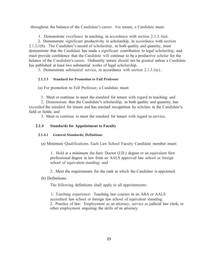throughout the balance of the Candidate's career. For tenure, a Candidate must:

1. Demonstrate excellence in teaching, in accordance with section 2.1.3.1(a).

2. Demonstrate significant productivity in scholarship, in accordance with section

2.1.3**.**1(b). The Candidate's record of scholarship, in both quality and quantity, must demonstrate that the Candidate has made a significant contribution to legal scholarship, and must provide confidence that the Candidate will continue to be a productive scholar for the balance of the Candidate's career. Ordinarily tenure should not be granted unless a Candidate has published at least two substantial works of legal scholarship.

3. Demonstrate substantial service, in accordance with section 2.1.3.1(c) .

## **2.1.3.3 Standard for Promotion to Full Professor**

(a) For promotion to Full Professor, a Candidate must:

1. Meet or continue to meet the standard for tenure with regard to teaching; and

2. Demonstrate that the Candidate's scholarship, in both quality and quantity, has exceeded the standard for tenure and has merited recognition by scholars in the Candidate's field or fields; and

3. Meet or continue to meet the standard for tenure with regard to service.

## **2.1.4 Standards for Appointment to Faculty**

### **2.1.4.1 General Standards; Definitions**

(a) Minimum Qualifications. Each Law School Faculty Candidate member must:

1. Hold at a minimum the Juris Doctor (J.D.) degree or an equivalent first professional degree in law from an AALS approved law school or foreign school of equivalent standing; and

2. Meet the requirements for the rank to which the Candidate is appointed.

(b) Definitions.

The following definitions shall apply to all appointments:

1. Teaching experience: Teaching law courses in an ABA or AALS accredited law school or foreign law school of equivalent standing. 2. Practice of law: Employment as an attorney, service as judicial law clerk, or other employment requiring the skills of an attorney.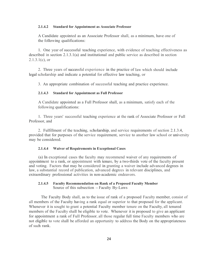#### **2.1.4.2 Standard for Appointment as Associate Professor**

A Candidate appointed as an Associate Professor shall, as a minimum, have one of the following qualifications:

1. One year of successful teaching experience, with evidence of teaching effectiveness as described in section 2.1.3.1(a) and institutional and public service as described in section  $2.1.3.1(c)$ , or

2. Three years of successful experience in the practice of law which should include legal scholarship and indicate a potential for effective law teaching, or

3. An appropriate combination of successful teaching and practice experience.

#### **2.1.4.3 Standard for Appointment as Full Professor**

A Candidate appointed as a Full Professor shall, as a minimum, satisfy each of the following qualifications:

1. Three years' successful teaching experience at the rank of Associate Professor or Full Professor, and

2. Fulfillment of the teaching, scholarship, and service requirements of section 2.1.3.4, provided that for purposes of the service requirement, service to another law school or university may be considered.

#### **2.1.4.4 Waiver of Requirements in Exceptional Cases**

(a) In exceptional cases the faculty may recommend waiver of any requirements of appointment to a rank, or appointment with tenure, by a two-thirds vote of the faculty present and voting. Factors that may be considered in granting a waiver include advanced degrees in law, a substantial record of publication, advanced degrees in relevant disciplines, and extraordinary professional activities in non-academic endeavors.

#### **2.1.4.5 Faculty Recommendation on Rank of a Proposed Faculty Member**  Source of this subsection -Faculty By-Laws

The Faculty Body shall, as to the issue of rank of a proposed Faculty member, consist of all members of the Faculty having a rank equal or superior to that proposed for the applicant. Whenever it is sought to grant a potential Faculty member tenure on the Faculty, all tenured members of the Faculty shall be eligible to vote. Whenever it is proposed to give an applicant for appointment a rank of Full Professor, all those regular full time Faculty members who are not eligible to vote shall be afforded an opportunity to address the Body on the appropriateness of such rank.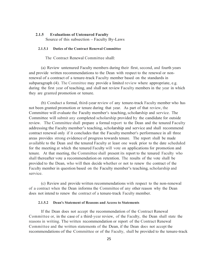## **2.1.5 Evaluations of Untenured Faculty**  Source of this subsection -Faculty By-Laws

#### **2.1.5.1 Duties of the Contract Renewal Committee**

The Contract Renewal Committee shall:

(a) Review untenured Faculty members during their first, second, and fourth years and provide written recommendations to the Dean with respect to the renewal or nonrenewal of a contract of a tenure-track Faculty member based on the standards in subparagraph (4). The Committee may provide a limited review where appropriate, e.g. during the first year of teaching, and shall not review Faculty members in the year in which they are granted promotion or tenure.

(b) Conduct a formal, third-year review of any tenure-track Faculty member who has not been granted promotion or tenure during that year. As part of that review, the Committee will evaluate the Faculty member's teaching, scholarship and service. The Committee will submit any completed scholarship provided by the candidate for outside review. The Committee shall prepare a formal report to the Dean and the tenured Faculty addressing the Faculty member's teaching, scholarship and service and shall recommend contract renewal only if it concludes that the Faculty member's performance in all three areas provides strong evidence of progress towards tenure. The report shall be made available to the Dean and the tenured Faculty at least one week prior to the date scheduled for the meeting at which the tenured Faculty will vote on applications for promotion and tenure. At that meeting, the Committee shall present its report to the tenured Faculty who shall thereafter vote a recommendation on retention. The results of the vote shall be provided to the Dean, who will then decide whether or not to renew the contract of the Faculty member in question based on the Faculty member's teaching, scholarship and service.

(c) Review and provide written recommendations with respect to the non-renewal of a contract when the Dean informs the Committee of any other reason why the Dean does not intend to renew the contract of a tenure-track Faculty member.

#### **2.1.5.2 Dean's Statement of Reasons and Access to Statements**

If the Dean does not accept the recommendation of the Contract Renewal Committee or, in the case of a third-year review, of the Faculty, the Dean shall state the reasons in writing. The written recommendation or report of the Contract Renewal Committee and the written statements of the Dean, if the Dean does not accept the recommendations of the Committee or of the Faculty, shall be provided to the tenure-track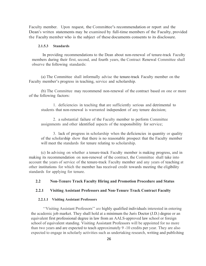Faculty member. Upon request, the Committee's recommendation or report and the Dean's written statements may be examined by full-time members of the Faculty, provided the Faculty member who is the subject of these documents consents to its disclosure.

#### **2.1.5.3 Standards**

In providing recommendations to the Dean about non-renewal of tenure-track Faculty members during their first, second, and fourth years, the Contract Renewal Committee shall observe the following standards:

(a) The Committee shall informally advise the tenure-track Faculty member on the Faculty member's progress in teaching, service and scholarship.

(b) The Committee may recommend non-renewal of the contract based on one or more of the following factors:

1. deficiencies in teaching that are sufficiently serious and detrimental to students that non-renewal is warranted independent of any tenure decision;

2. a substantial failure of the Faculty member to perform Committee assignments and other identified aspects of the responsibility for service;

3. lack of progress in scholarship when the deficiencies in quantity or quality of the scholarship show that there is no reasonable prospect that the Faculty member will meet the standards for tenure relating to scholarship.

(c) In advising on whether a tenure-track Faculty member is making progress, and in making its recommendation on non-renewal of the contract, the Committee shall take into account the years of service of the tenure-track Faculty member and any years of teaching at other institutions for which the member has received credit towards meeting the eligibility standards for applying for tenure.

**2.2 Non-Tenure Track Faculty Hiring and Promotion Procedure and Status** 

## **2.2.1 Visiting Assistant Professors and Non-Tenure Track Contract Faculty**

## **2.2.1.1 Visiting Assistant Professors**

"Visiting Assistant Professors" are highly qualified individuals interested in entering the academic job market. They shall hold at a minimum the Juris Doctor (J.D.) degree or an equivalent first professional degree in law from an AALS-approved law school or foreign school of equivalent standing. Visiting Assistant Professors will be appointed for no more than two years and are expected to teach approximately 9 -10 credits per year. They are also expected to engage in scholarly activities such as undertaking research, writing and publishing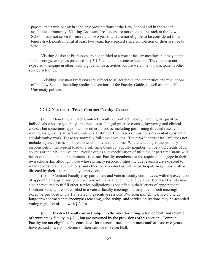papers, and participating in scholarly presentations at the Law School and in the wider academic community. Visiting Assistant Professors are not on a tenure track at the Law School, may not serve for more than two years, and are not eligible to be considered for a tenure-track position until at least two years have passed since completion of their service to Seton Hall.

Visiting Assistant Professors are not entitled to a vote at faculty meetings but may attend such meetings, except as provided in § 3.1.5 related to executive sessions. They are also not expected to engage in other faculty governance activities but are welcome to participate in other service activities.

Visiting Assistant Professors are subject to all academic and other rules and regulations of the Law School, including applicable sections of the Faculty Guide, as well as applicable University policies.

## **2.2.1.2 Non-tenure Track Contract Faculty: General**

(a) Non-Tenure Track Contract Faculty ("Contract Faculty") are highly qualified individuals who are generally appointed to teach legal practice courses, lawyering and clinical courses but sometimes appointed for other purposes, including performing directed research and writing assignments as part of Centers or Institutes. Both types of positions may entail substantial administrative work. These are normally full-time positions. The term "contract faculty" does not include adjunct professors hired to teach individual courses. Where teaching is the primary responsibility, the typical load of a full-time Contract Faculty member will be 9-12 credits of JD courses or the MSJ equivalent. Precise duties and specification of full time or part time status will be set out in letters of appointment. Contract Faculty members are not required to engage in their own scholarship although those whose primary responsibilities include research are expected to write reports, grant applications, and other work product as well as participate in symposia, all as directed by their tenured faculty supervisors.

(b) Contract Faculty may participate and vote in faculty committees, with the exception of appointments, grievance, contract renewal, rank and tenure, and bylaws. Contract Faculty may also be required to fulfill other service obligations as specified in their letters of appointment. Contract Faculty are not entitled to a vote at faculty meetings but may attend such meetings, except as provided in § 3.1.5 related to executive sessions. *Provided that* clinical faculty with long-term contracts that encompass teaching, scholarship, and service obligations may be accorded voting rights consistent with § 3.1.6.

(c) Contract Faculty are not subject to the rules for hiring, advancement, and retention of tenure track faculty in § 2.1, but are governed by the provisions of this section. Contract Faculty are not eligible to be considered for a tenure-track appointment until at least two years have passed since completion of their service to Seton Hall.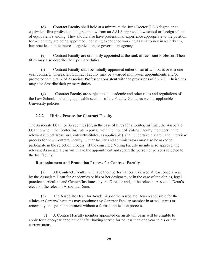(d) Contract Faculty shall hold at a minimum the Juris Doctor (J.D.) degree or an equivalent first professional degree in law from an AALS approved law school or foreign school of equivalent standing. They should also have professional experience appropriate to the position for which they are being appointed, including experience working as an attorney in a clerkship, law practice, public interest organization, or government agency.

Contract Faculty are ordinarily appointed at the rank of Assistant Professor. Their titles may also describe their primary duties.

(f) Contract Faculty shall be initially appointed either on an at-will basis or to a oneyear contract. Thereafter, Contract Faculty may be awarded multi-year appointments and/or promoted to the rank of Associate Professor consistent with the provisions of § 2.2.3. Their titles may also describe their primary duties.

(g) Contract Faculty are subject to all academic and other rules and regulations of the Law School, including applicable sections of the Faculty Guide, as well as applicable University policies.

## **2.2.2 Hiring Process for Contract Faculty**

The Associate Dean for Academics (or, in the case of hires for a Center/Institute, the Associate Dean to whom the Center/Institute reports), with the input of Voting Faculty members in the relevant subject areas (or Centers/Institutes, as applicable), shall undertake a search and interview process for new Contract Faculty. Other faculty and administrators may also be asked to participate in the selection process. If the consulted Voting Faculty members so approve, the relevant Associate Dean will make the appointment and report the person or persons selected to the full faculty.

#### **Reappointment and Promotion Process for Contract Faculty**

(a) All Contract Faculty will have their performances reviewed at least once a year by the Associate Dean for Academics or his or her designate, or in the case of the clinics, legal practice curriculum and Centers/Institutes, by the Director and, at the relevant Associate Dean's election, the relevant Associate Dean.

(b) The Associate Dean for Academics or the Associate Dean responsible for the clinics or Centers/Institutes may continue any Contract Faculty member in at-will status or renew any one-year appointment without a formal application process.

(c) A Contract Faculty member appointed on an at-will basis will be eligible to apply for a one-year appointment after having served for no less than one year in his or her current status.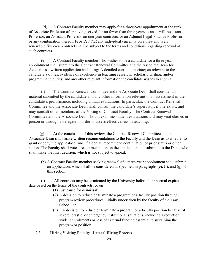(d) A Contract Faculty member may apply for a three-year appointment at the rank of Associate Professor after having served for no fewer than three years as an at-will Assistant Professor, an Assistant Professor on one-year contracts, or an Adjunct Legal Practice Professor, or any combination thereof. *Provided that* any individual currently on a presumptively renewable five-year contract shall be subject to the terms and conditions regarding renewal of such contracts.

(e) A Contract Faculty member who wishes to be a candidate for a three year appointment shall submit to the Contract Renewal Committee and the Associate Dean for Academics a written application including: A detailed curriculum vitae; as relevant to the candidate's duties, evidence of excellence in teaching research, scholarly writing, and/or programmatic duties; and any other relevant information the candidate wishes to submit.

(f) The Contract Renewal Committee and the Associate Dean shall consider all material submitted by the candidate and any other information relevant to an assessment of the candidate's performance, including annual evaluations. In particular, the Contract Renewal Committee and the Associate Dean shall consult the candidate's supervisor, if one exists, and may consult other members of the Voting or Contract Faculty. The Contract Renewal Committee and the Associate Dean should examine student evaluations and may visit classes in person or through a delegate in order to assess effectiveness in teaching.

(g) At the conclusion of this review, the Contract Renewal Committee and the Associate Dean shall make written recommendations to the Faculty and the Dean as to whether to grant or deny the application, and, if a denial, recommend continuation of prior status or other action. The Faculty shall vote a recommendation on the application and submit it to the Dean, who shall make the final decision, which is not subject to appeal.

(h) A Contract Faculty member seeking renewal of a three-year appointment shall submit an application, which shall be considered as specified in paragraphs (e), (f), and (g) of this section.

(i) All contracts may be terminated by the University before their normal expiration date based on the terms of the contracts, or on

- (1) Just cause for dismissal;
- (2) A decision to reduce or terminate a program or a faculty position through program review procedures initially undertaken by the faculty of the Law School; or
- (3) A decision to reduce or terminate a program or a faculty position because of severe, drastic, or emergency institutional situations, including a reduction in student enrollments or loss of external funding essential to sustaining the program or position.
- **2.3 Hiring Visiting Faculty--Lateral Hiring Process**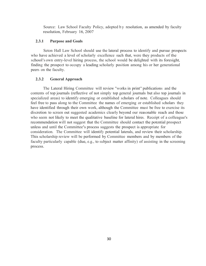Source: Law School Faculty Policy, adopted by resolution, as amended by faculty resolution, February 16, 2007

## **2.3.1 Purpose and Goals**

Seton Hall Law School should use the lateral process to identify and pursue prospects who have achieved a level of scholarly excellence such that, were they products of the school's own entry-level hiring process, the school would be delighted with its foresight, finding the prospect to occupy a leading scholarly position among his or her generational peers on the faculty.

## **2.3.2 General Approach**

The Lateral Hiring Committee will review "works in print" publications and the contents of top journals (reflective of not simply top general journals but also top journals in specialized areas) to identify emerging or established scholars of note. Colleagues should feel free to pass along to the Committee the names of emerging or established scholars they have identified through their own work, although the Committee must be free to exercise its discretion to screen out suggested academics clearly beyond our reasonable reach and those who seem not likely to meet the qualitative baseline for lateral hires. Receipt of a colleague's recommendation will not suggest that the Committee should contact the potential prospect unless and until the Committee's process suggests the prospect is appropriate for consideration. The Committee will identify potential laterals, and review their scholarship. This scholarship review will be performed by Committee members and by members of the faculty particularly capable (due, e.g., to subject matter affinity) of assisting in the screening process.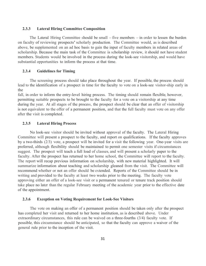#### **2.3.3 Lateral Hiring Committee Composition**

The Lateral Hiring Committee should be small  $-$  five members  $-$  in order to lessen the burden on faculty of reviewing prospects'scholarly production. The Committee would, as is described above, be supplemented on an ad hoc basis to gain the input of faculty members in related areas of scholarship. Because the main task of the Committee is scholarship review, it should not have student members. Students would be involved in the process during the look-see visitorship, and would have substantial opportunities to inform the process at that time.

## **2.3.4 Guidelines for Timing**

The screening process should take place throughout the year. If possible, the process should lead to the identification of a prospect in time for the faculty to vote on a look-see visitor-ship early in the

fall, in order to inform the entry-level hiring process. The timing should remain flexible, however, permitting suitable prospects to be brought to the faculty for a vote on a visitorship at any time during the year. At all stages of the process, the prospect should be clear that an offer of visitorship is not equivalent to the offer of a permanent position, and that the full faculty must vote on any offer after the visit is completed.

#### **2.3.5 Lateral Hiring Process**

No look-see visitor should be invited without approval of the faculty. The Lateral Hiring Committee will present a prospect to the faculty, and report on qualifications. If the faculty approves by a two-thirds (2/3) vote, a prospect will be invited for a visit the following year. One-year visits are preferred, although flexibility should be maintained to permit one semester visits if circumstances suggest. The prospect will teach a full load of classes, and will present a scholarly paper to the faculty. After the prospect has returned to her home school, the Committee will report to the faculty. The report will recap previous information on scholarship, with new material highlighted. It will summarize information about teaching and scholarship gleaned from the visit. The Committee will recommend whether or not an offer should be extended. Reports of the Committee should be in writing and provided to the faculty at least two weeks prior to the meeting. The faculty vote approving either an offer of a look-see visit or a permanent tenured or tenure track position should take place no later than the regular February meeting of the academic year prior to the effective date of the appointment.

#### **2.3.6 Exception on Voting Requirement for Look-See Visitors**

The vote on making an offer of a permanent position should be taken only after the prospect has completed her visit and returned to her home institution, as is described above. Under extraordinary circumstances, this rule can be waived on a three-fourths (3/4) faculty vote. If possible, this circumstance should be anticipated, so that the faculty can approve a waiver of the general rule prior to the inception of the visit.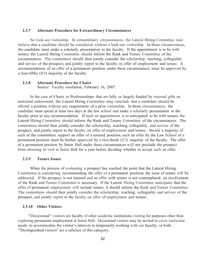#### **2.3.7 Alternate Procedure for Extraordinary Circumstances**

No look-see visitorship. In extraordinary circumstances, the Lateral Hiring Committee may believe that a candidate should be considered without a look-see visitorship. In those circumstances, the candidate must make a scholarly presentation to the faculty. If the appointment is to be with tenure, the Lateral Hiring Committee should inform the Rank and Tenure Committee of the circumstances. The committees should then jointly consider the scholarship, teaching, collegiality and service of the prospect, and jointly report to the faculty on offer of employment and tenure. A recommendation of an offer of a permanent position under these circumstances must be approved by a four-fifths (4/5) majority of the faculty.

#### **2.3.8 Alternate Procedure for Chairs**

Source: Faculty resolution, February 16, 2007

In the case of Chairs or Professorships that are fully or largely funded by external gifts or restricted endowment, the Lateral Hiring Committee may conclude that a candidate should be offered a position without any requirement of a prior visitorship. In those circumstances, the candidate must spend at least two days at the law school and make a scholarly presentation to the faculty prior to any recommendation. If such an appointment is to anticipated to be with tenure, the Lateral Hiring Committee should inform the Rank and Tenure Committee of the circumstances. The committees should then jointly consider the scholarship, teaching, collegiality, and service of the prospect, and jointly report to the faculty on offer of employment and tenure. Should a majority of each of the committees support an offer of a tenured position, such an offer by the Law School of a permanent position must be further approved by a two-thirds (2/3) majority of the faculty. The offer of a permanent position by Seton Hall under these circumstances will not preclude the prospect from choosing to visit at Seton Hall for a year before deciding whether to accept such an offer

## **2.3.9 Tenure Issues**

When the process of evaluating a prospect has reached the point that the Lateral Hiring Committee is considering recommending the offer of a permanent position, the issue of tenure will be addressed. If the prospect is not tenured and an offer with tenure is not contemplated, no involvement of the Rank and Tenure Committee is necessary. If the Lateral Hiring Committee anticipates that the offer of permanent employment will include tenure, it should inform the Rank and Tenure Committee. The committees should then jointly consider the scholarship, teaching, collegiality and service of the prospect, and jointly report to the faculty on offer of employment and tenure.

#### **2.3.10 Other Visitors**

"Occasional" visitors are faculty of other academic institutions visiting for purposes other than exploring permanent employment at Seton Hall. Occasional visitors may be invited to cover curricular needs, to accommodate the visitor's interests in temporarily working with our faculty, or both. "Distinguished visitors" are a subclass of this category.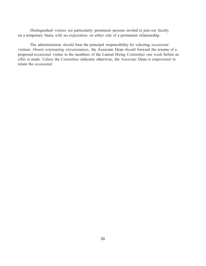Distinguished visitors are particularly prominent persons invited to join our faculty on a temporary basis, with no expectation on either side of a permanent relationship.

The administration should bear the principal responsibility for selecting occasional visitors. Absent extenuating circumstances, the Associate Dean should forward the resume of a proposed occasional visitor to the members of the Lateral Hiring Committee one week before an offer is made. Unless the Committee indicates otherwise, the Associate Dean is empowered to retain the occasional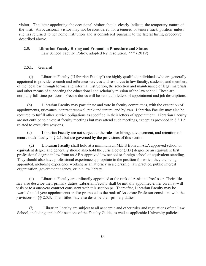visitor. The letter appointing the occasional visitor should clearly indicate the temporary nature of the visit. An occasional visitor may not be considered for a tenured or tenure-track position unless she has returned to her home institution and is considered pursuant to the lateral hiring procedure described above.

## **2.5. Librarian Faculty Hiring and Promotion Procedure and Status** Law School Faculty Policy, adopted by resolution, \*\*\* (2019)

## **2.5.1: General**

(j) Librarian Faculty ("Librarian Faculty") are highly qualified individuals who are generally appointed to provide research and reference services and resources to law faculty, students, and members of the local bar through formal and informal instruction, the selection and maintenance of legal materials, and other means of supporting the educational and scholarly mission of the law school. These are normally full-time positions. Precise duties will be set out in letters of appointment and job descriptions.

 (b) Librarian Faculty may participate and vote in faculty committees, with the exception of appointments, grievance, contract renewal, rank and tenure, and bylaws. Librarian Faculty may also be required to fulfill other service obligations as specified in their letters of appointment. Librarian Faculty are not entitled to a vote at faculty meetings but may attend such meetings, except as provided in § 3.1.5 related to executive sessions.

 (c) Librarian Faculty are not subject to the rules for hiring, advancement, and retention of tenure track faculty in  $\S 2.1$ , but are governed by the provisions of this section.

(d) Librarian Faculty shall hold at a minimum an M.L.S from an ALA approved school or equivalent degree and generally should also hold the Juris Doctor (J.D.) degree or an equivalent first professional degree in law from an ABA approved law school or foreign school of equivalent standing. They should also have professional experience appropriate to the position for which they are being appointed, including experience working as an attorney in a clerkship, law practice, public interest organization, government agency, or in a law library.

(e) Librarian Faculty are ordinarily appointed at the rank of Assistant Professor. Their titles may also describe their primary duties. Librarian Faculty shall be initially appointed either on an at-will basis or to a one-year contract consistent with this section pr. Thereafter, Librarian Faculty may be awarded multi-year appointments and/or promoted to the rank of Associate Professor consistent with the provisions of §§ 2.5.3. Their titles may also describe their primary duties.

(f) Librarian Faculty are subject to all academic and other rules and regulations of the Law School, including applicable sections of the Faculty Guide, as well as applicable University policies.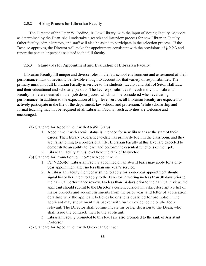### **2.5.2 Hiring Process for Librarian Faculty**

The Director of the Peter W. Rodino, Jr. Law Library, with the input of Voting Faculty members as determined by the Dean, shall undertake a search and interview process for new Librarian Faculty. Other faculty, administrators, and staff will also be asked to participate in the selection process. If the Dean so approves, the Director will make the appointment consistent with the provisions of § 2.2.3 and report the person or persons selected to the full faculty.

#### **2.5.3 Standards for Appointment and Evaluation of Librarian Faculty**

Librarian Faculty fill unique and diverse roles in the law school environment and assessment of their performance must of necessity be flexible enough to account for that variety of responsibilities. The primary mission of all Librarian Faculty is service to the students, faculty, and staff of Seton Hall Law and their educational and scholarly pursuits. The key responsibilities for each individual Librarian Faculty's role are detailed in their job descriptions, which will be considered when evaluating performance. In addition to the expectation of high-level service, all Librarian Faculty are expected to actively participate in the life of the department, law school, and profession. While scholarship and formal teaching may not be required of all Librarian Faculty, such activities are welcome and encouraged.

- (a) Standard for Appointment with At-Will Status
	- 1. Appointment with at-will status is intended for new librarians at the start of their career. Their library experience to-date has primarily been in the classroom, and they are transitioning to a professional life. Librarian Faculty at this level are expected to demonstrate an ability to learn and perform the essential functions of their job.
	- 2. Librarian Faculty at this level hold the rank of Instructor.
- (b) Standard for Promotion to One-Year Appointment
	- 1. Per § 2.5.4(c), Librarian Faculty appointed on an at-will basis may apply for a oneyear appointment after no less than one year's service.
	- 2. A Librarian Faculty member wishing to apply for a one-year appointment should signal his or her intent to apply to the Director in writing no less than 30 days prior to their annual performance review. No less than 14 days prior to their annual review, the applicant should submit to the Director a current curriculum vitae, descriptive list of major projects and accomplishments from the prior year, and letter of application detailing why the applicant believes he or she is qualified for promotion. The applicant may supplement this packet with further evidence he or she feels relevant. The Director shall communicate his or her decision to the Dean, who shall issue the contract, then to the applicant.
	- 3. Librarian Faculty promoted to this level are also promoted to the rank of Assistant Professor.
- (c) Standard for Appointment with One-Year Contract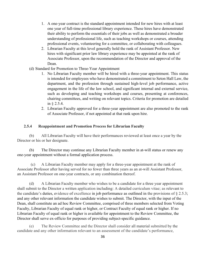- 1. A one-year contract is the standard appointment intended for new hires with at least one year of full-time professional library experience. These hires have demonstrated their ability to perform the essentials of their jobs as well as demonstrated a broader understanding of professional life, such as teaching workshops or courses, attending professional events, volunteering for a committee, or collaborating with colleagues.
- 2. Librarian Faculty at this level generally hold the rank of Assistant Professor. New hires with significant prior law library experience may be appointed at the rank of Associate Professor, upon the recommendation of the Director and approval of the Dean.
- (d) Standard for Promotion to Three-Year Appointment
	- 1. No Librarian Faculty member will be hired with a three-year appointment. This status is intended for employees who have demonstrated a commitment to Seton Hall Law, the department, and the profession through sustained high-level job performance, active engagement in the life of the law school, and significant internal and external service, such as developing and teaching workshops and courses, presenting at conferences, chairing committees, and writing on relevant topics. Criteria for promotion are detailed in § 2.5.4.
	- 2. Librarian Faculty approved for a three-year appointment are also promoted to the rank of Associate Professor, if not appointed at that rank upon hire.

### **2.5.4 Reappointment and Promotion Process for Librarian Faculty**

(b) All Librarian Faculty will have their performances reviewed at least once a year by the Director or his or her designate.

(b) The Director may continue any Librarian Faculty member in at-will status or renew any one-year appointment without a formal application process.

(c) A Librarian Faculty member may apply for a three-year appointment at the rank of Associate Professor after having served for no fewer than three years as an at-will Assistant Professor, an Assistant Professor on one-year contracts, or any combination thereof.

(d) A Librarian Faculty member who wishes to be a candidate for a three year appointment shall submit to the Director a written application including: A detailed curriculum vitae; as relevant to the candidate's duties, evidence of excellence in job performance as outlined in the provisions of § 2.5.3; and any other relevant information the candidate wishes to submit. The Director, with the input of the Dean, shall constitute an ad hoc Review Committee, comprised of three members selected from Voting Faculty, Librarian Faculty of equal rank or higher, or Contract Faculty of equal rank or higher. If no Librarian Faculty of equal rank or higher is available for appointment to the Review Committee, the Director shall serve ex-officio for purposes of providing subject-specific guidance.

(e) The Review Committee and the Director shall consider all material submitted by the candidate and any other information relevant to an assessment of the candidate's performance,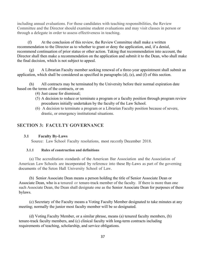including annual evaluations. For those candidates with teaching responsibilities, the Review Committee and the Director should examine student evaluations and may visit classes in person or through a delegate in order to assess effectiveness in teaching.

(f) At the conclusion of this review, the Review Committee shall make a written recommendation to the Director as to whether to grant or deny the application, and, if a denial, recommend continuation of prior status or other action. Taking that recommendation into account, the Director shall then make a recommendation on the application and submit it to the Dean, who shall make the final decision, which is not subject to appeal.

(g) A Librarian Faculty member seeking renewal of a three-year appointment shall submit an application, which shall be considered as specified in paragraphs (d), (e), and (f) of this section.

(h) All contracts may be terminated by the University before their normal expiration date based on the terms of the contracts, or on

- (4) Just cause for dismissal;
- (5) A decision to reduce or terminate a program or a faculty position through program review procedures initially undertaken by the faculty of the Law School.
- (6) A decision to terminate a program or a Librarian Faculty position because of severe, drastic, or emergency institutional situations.

# **SECTION 3: FACULTY GOVERNANCE**

#### **3.1 Faculty By-Laws**

Source: Law School Faculty resolutions, most recently December 2018.

#### **3.1.1 Rules of construction and definitions**

(a) The accreditation standards of the American Bar Association and the Association of American Law Schools are incorporated by reference into these By-Laws as part of the governing documents of the Seton Hall University School of Law.

(b) Senior Associate Dean means a person holding the title of Senior Associate Dean or Associate Dean, who is a tenured or tenure-track member of the faculty. If there is more than one such Associate Dean, the Dean shall designate one as the Senior Associate Dean for purposes of these bylaws.

(c) Secretary of the Faculty means a Voting Faculty Member designated to take minutes at any meeting; normally the junior most faculty member will be so designated.

(d) Voting Faculty Member, or a similar phrase, means (a) tenured faculty members, (b) tenure-track faculty members, and (c) clinical faculty with long-term contracts including requirements of teaching, scholarship, and service obligations.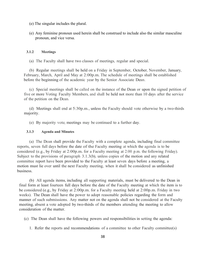- (e) The singular includes the plural.
- (e) Any feminine pronoun used herein shall be construed to include also the similar masculine pronoun, and vice versa.

#### **3.1.2 Meetings**

(a) The Faculty shall have two classes of meetings, regular and special.

(b) Regular meetings shall be held on a Friday in September, October, November, January, February, March, April and May at 2:00p.m. The schedule of meetings shall be established before the beginning of the academic year by the Senior Associate Dean.

(c) Special meetings shall be called on the instance of the Dean or upon the signed petition of five or more Voting Faculty Members, and shall be held not more than 10 days after the service of the petition on the Dean.

(d) Meetings shall end at 5:30p.m., unless the Faculty should vote otherwise by a two-thirds majority.

(e) By majority vote, meetings may be continued to a further day.

#### **3.1.3 Agenda and Minutes**

(a) The Dean shall provide the Faculty with a complete agenda, including final committee reports, seven full days before the date of the Faculty meeting at which the agenda is to be considered (e.g., by Friday at 2:00p.m. for a Faculty meeting at 2:00 p.m. the following Friday). Subject to the provisions of paragraph 3.1.3(b), unless copies of the motion and any related committee report have been provided to the Faculty at least seven days before a meeting, a motion must lie over until the next Faculty meeting, when it shall be considered as unfinished business.

(b) All agenda items, including all supporting materials, must be delivered to the Dean in final form at least fourteen full days before the date of the Faculty meeting at which the item is to be considered (e.g., by Friday at 2:00p.m. for a Faculty meeting held at 2:00p.m. Friday in two weeks). The Dean shall have the power to adopt reasonable policies regarding the form and manner of such submissions. Any matter not on the agenda shall not be considered at the Faculty meeting, absent a vote adopted by two-thirds of the members attending the meeting to allow consideration of the matter.

(c) The Dean shall have the following powers and responsibilities in setting the agenda:

1. Refer the reports and recommendations of a committee to other Faculty committee(s)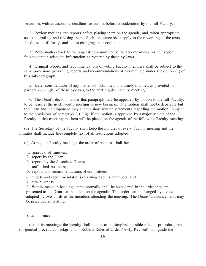for action, with a reasonable deadline for action, before consideration by the full Faculty.

2. Review motions and reports before placing them on the agenda, and, when appropriate, assist in drafting and revising them. Such assistance shall apply to the rewording of the texts for the sake of clarity, and not to changing their contents.

3. Refer matters back to the originating committee if the accompanying written report fails to contain adequate information as required by these by-laws.

4. Original reports and recommendations of voting Faculty members shall be subject to the same provisions governing reports and recommendations of a committee under subsection (1) of this sub-paragraph.

5. Defer consideration of any matter not submitted in a timely manner, as provided in paragraph 3.1.3(b) of these by-laws, to the next regular Faculty meeting.

6. The Dean's decision under this paragraph may be appealed by motion to the full Faculty, to be heard at the next Faculty meeting as new business. The motion shall not be debatable but the Dean and the proponent may submit short written statements regarding the motion. Subject to the provisions of paragraph 3.1.3(b), if the motion is approved by a majority vote of the Faculty at that meeting, the item will be placed on the agenda of the following Faculty meeting.

(d) The Secretary of the Faculty shall keep the minutes of every Faculty meeting and the minutes shall include the complete text of all resolutions adopted.

(e) At regular Faculty meetings the order of business shall be:

- 1. approval of minutes;
- 2. report by the Dean;
- 3. reports by the Associate Deans;
- 4. unfinished business;
- 5. reports and recommendations of committees;
- 6. reports and recommendations of voting Faculty members, and
- 7. new business.

8. Within each sub-heading, items normally shall be considered in the order they are presented to the Dean for inclusion on the agenda. This order can be changed by a vote adopted by two-thirds of the members attending the meeting. The Deans' announcements may be presented in writing.

### **3.1.4 Rules**

(a) In its meetings, the Faculty shall adhere to the simplest possible rules of procedure, but for general procedural background, "Roberts Rules of Order Newly Revised" will guide the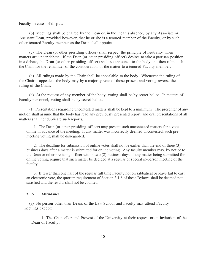Faculty in cases of dispute.

(b) Meetings shall be chaired by the Dean or, in the Dean's absence, by any Associate or Assistant Dean, provided however, that he or she is a tenured member of the Faculty, or by such other tenured Faculty member as the Dean shall appoint.

(c) The Dean (or other presiding officer) shall respect the principle of neutrality when matters are under debate. If the Dean (or other presiding officer) desires to take a partisan position in a debate, the Dean (or other presiding officer) shall so announce to the body and then relinquish the Chair for the remainder of the consideration of the matter to a tenured Faculty member.

(d) All rulings made by the Chair shall be appealable to the body. Whenever the ruling of the Chair is appealed, the body may by a majority vote of those present and voting reverse the ruling of the Chair.

(e) At the request of any member of the body, voting shall be by secret ballot. In matters of Faculty personnel, voting shall be by secret ballot.

 (f) Presentations regarding uncontested matters shall be kept to a minimum. The presenter of any motion shall assume that the body has read any previously presented report, and oral presentations of all matters shall not duplicate such reports.

1. The Dean (or other presiding officer) may present such uncontested matters for a vote online in advance of the meeting. If any matter was incorrectly deemed uncontested, such premeeting voting shall be disregarded.

2. The deadline for submission of online votes shall not be earlier than the end of three (3) business days after a matter is submitted for online voting. Any faculty member may, by notice to the Dean or other presiding officer within two (2) business days of any matter being submitted for online voting, require that such matter be decided at a regular or special in-person meeting of the faculty.

3. If fewer than one half of the regular full time Faculty not on sabbatical or leave fail to cast an electronic vote, the quorum requirement of Section 3.1.8 of these Bylaws shall be deemed not satisfied and the results shall not be counted.

### **3.1.5 Attendance**

(a) No person other than Deans of the Law School and Faculty may attend Faculty meetings except:

1. The Chancellor and Provost of the University at their request or on invitation of the Dean or Faculty;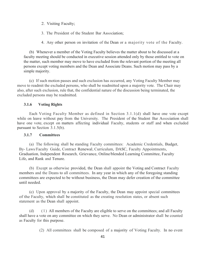- 2. Visiting Faculty;
- 3. The President of the Student Bar Association;
- 4. Any other person on invitation of the Dean or a majority vote of the Faculty.

(b) Whenever a member of the Voting Faculty believes the matter about to be discussed at a faculty meeting should be conducted in executive session attended only by those entitled to vote on the matter, such member may move to have excluded from the relevant portion of the meeting all persons except voting members and the Dean and Associate Deans. Such motion may pass by a simple majority.

(c) If such motion passes and such exclusion has occurred, any Voting Faculty Member may move to readmit the excluded persons, who shall be readmitted upon a majority vote. The Chair may also, after such exclusion, rule that, the confidential nature of the discussion being terminated, the excluded persons may be readmitted.

#### **3.1.6 Voting Rights**

Each Voting Faculty Member as defined in Section 3.1.1(d) shall have one vote except while on leave without pay from the University. The President of the Student Bar Association shall have one vote, except on matters affecting individual Faculty, students or staff and when excluded pursuant to Section 3.1.5(b).

### **3.1.7 Committees**

(a) The following shall be standing Faculty committees: Academic Credentials, Budget, By- Laws/Faculty Guide, Contract Renewal, Curriculum, DASC, Faculty Appointments, Graduation, Independent Research, Grievance, Online/blended Learning Committee, Faculty Life, and Rank and Tenure.

(b) Except as otherwise provided, the Dean shall appoint the Voting and Contract Faculty members and the Deans to all committees. In any year in which any of the foregoing standing committees are expected to be without business, the Dean may defer creation of the committee until needed.

(c) Upon approval by a majority of the Faculty, the Dean may appoint special committees of the Faculty, which shall be constituted as the creating resolution states, or absent such statement as the Dean shall appoint.

(d) (1) All members of the Faculty are eligible to serve on the committees; and all Faculty shall have a vote on any committee on which they serve. No Dean or administrator shall be counted as Faculty for this purpose.

(2) All committees shall be composed of a majority of Voting Faculty. In no event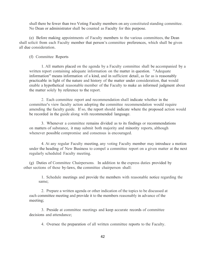shall there be fewer than two Voting Faculty members on any constituted standing committee. No Dean or administrator shall be counted as Faculty for this purpose.

(e) Before making appointments of Faculty members to the various committees, the Dean shall solicit from each Faculty member that person's committee preferences, which shall be given all due consideration.

#### (f) Committee Reports

1. All matters placed on the agenda by a Faculty committee shall be accompanied by a written report containing adequate information on the matter in question. "Adequate information" means information of a kind, and in sufficient detail, as far as is reasonably practicable in light of the nature and history of the matter under consideration, that would enable a hypothetical reasonable member of the Faculty to make an informed judgment about the matter solely by reference to the report.

2. Each committee report and recommendation shall indicate whether in the committee's view faculty action adopting the committee recommendation would require amending the faculty guide. If so, the report should indicate where the proposed action would be recorded in the guide along with recommended language.

3. Whenever a committee remains divided as to its findings or recommendations on matters of substance, it may submit both majority and minority reports, although whenever possible compromise and consensus is encouraged.

4. At any regular Faculty meeting, any voting Faculty member may introduce a motion under the heading of New Business to compel a committee report on a given matter at the next regularly scheduled Faculty meeting.

(g) Duties of Committee Chairpersons. In addition to the express duties provided by other sections of these by-laws, the committee chairperson shall:

1. Schedule meetings and provide the members with reasonable notice regarding the same;

2. Prepare a written agenda or other indication of the topics to be discussed at each committee meeting and provide it to the members reasonably in advance of the meeting;

3. Preside at committee meetings and keep accurate records of committee decisions and attendance;

4. Oversee the preparation of all written committee reports to the Faculty.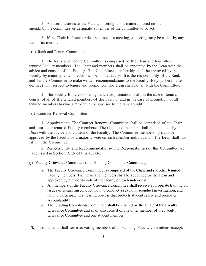5. Answer questions at the Faculty meeting about matters placed on the agenda by the committee or designate a member of the committee to so act.

6. If the Chair is absent or declines to call a meeting, a meeting may be called by any two of its members.

(h) Rank and Tenure Committee:

1. The Rank and Tenure Committee is comprised of the Chair and four other tenured Faculty members. The Chair and members shall be appointed by the Dean with the advice and consent of the Faculty. The Committee membership shall be approved by the Faculty by majority vote on each member individually. It is the responsibility of the Rank and Tenure Committee to make written recommendations to the Faculty Body (as hereinafter defined) with respect to tenure and promotion. The Dean shall not sit with the Committee.

2. The Faculty Body considering tenure or promotion shall, in the case of tenure, consist of all of the tenured members of the Faculty, and in the case of promotion, of all tenured members having a rank equal or superior to the rank sought.

(i) Contract Renewal Committee

1. Appointment-The Contract Renewal Committee shall be comprised of the Chair and four other tenured Faculty members. The Chair and members shall be appointed by the Dean with the advice and consent of the Faculty. The Committee membership shall be approved by the Faculty by a majority vote on each member individually. The Dean shall not sit with the Committee.

2. Responsibility and Recommendations-The Responsibilities of this Committee are addressed in Section 2.1.5 of this Guide.

(j) Faculty Grievance Committee (and Grading Complaints Committee)

- a. The Faculty Grievance Committee is comprised of the Chair and six other tenured Faculty members. The Chair and members shall be appointed by the Dean and approved by a majority vote of the faculty on each individual.
- b. All members of the Faculty Grievance Committee shall receive appropriate training on issues of sexual misconduct, how to conduct a sexual misconduct investigation, and how to participate in a hearing process that protects student safety and promotes accountability.
- c. The Grading Complaints Committee shall be chaired by the Chair of the Faculty Grievance Committee and shall also consist of one other member of the Faculty Grievance Committee and one student member.

(k) Two students shall serve as voting members of all standing Faculty committees except: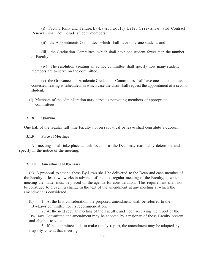(i) Faculty Rank and Tenure, By-Laws, Faculty Life, Grievance, and Contract Renewal, shall not include student members;

(ii) the Appointments Committee, which shall have only one student; and

(iii) the Graduation Committee, which shall have one student fewer than the number of Faculty.

 (iv) The resolution creating an ad hoc committee shall specify how many student members are to serve on the committee.

(v) the Grievance and Academic Credentials Committees shall have one student unless a contested hearing is scheduled, in which case the chair shall request the appointment of a second student.

(i) Members of the administration may serve as nonvoting members of appropriate committees.

#### **3.1.8 Quorum**

One half of the regular full time Faculty not on sabbatical or leave shall constitute a quorum.

#### **3.1.9 Place of Meetings**

All meetings shall take place at such location as the Dean may reasonably determine and specify in the notice of the meeting.

#### **3.1.10 Amendment of By-Laws**

(a) A proposal to amend these By-Laws shall be delivered to the Dean and each member of the Faculty at least two weeks in advance of the next regular meeting of the Faculty, at which meeting the matter must be placed on the agenda for consideration. This requirement shall not be construed to prevent a change in the text of the amendment at any meeting at which the amendment is considered.

(b) 1. At the first consideration, the proposed amendment shall be referred to the By-Laws committee for its recommendation.

2. At the next regular meeting of the Faculty, and upon receiving the report of the By-Laws Committee, the amendment may be adopted by a majority of those Faculty present and eligible to vote.

3. If the committee fails to make timely report, the amendment may be adopted by majority vote at that meeting.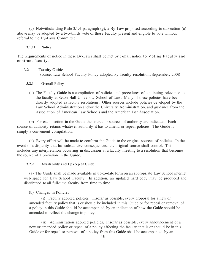(c) Notwithstanding Rule 3.1.4 paragraph  $(g)$ , a By-Law proposed according to subsection (a) above may be adopted by a two-thirds vote of those Faculty present and eligible to vote without referral to the By-Laws Committee.

#### **3.1.11 Notice**

The requirements of notice in these By-Laws shall be met by e-mail notice to Voting Faculty and contract faculty.

#### **3.2 Faculty Guide**

Source: Law School Faculty Policy adopted b y faculty resolution, September, 2008

#### **3.2.1 Overall Policy**

(a) The Faculty Guide is a compilation of policies and procedures of continuing relevance to the faculty at Seton Hall University School of Law. Many of these policies have been directly adopted as faculty resolutions. Other sources include policies developed by the Law School Administration and/or the University Administration, and guidance from the Association of American Law Schools and the American Bar Association.

 (b) For each section in the Guide the source or sources of authority are indicated. Each source of authority retains whatever authority it has to amend or repeal policies. The Guide is simply a convenient compilation.

(c) Every effort will be made to conform the Guide to the original sources of policies. In the event of a disparity that has substantive consequences, the original source shall control. This includes any interpretation occurring in discussion at a faculty meeting to a resolution that becomes the source of a provision in the Guide.

#### **3.2.2 Availability and Upkeep of Guide**

(a) The Guide shall be made available in up-to-date form on an appropriate Law School internet web space for Law School Faculty. In addition, an updated hard copy may be produced and distributed to all full-time faculty from time to time.

#### (b) Changes in Policies

(i) Faculty adopted policies Insofar as possible, every proposal for a new or amended faculty policy that is or should be included in this Guide or for repeal or removal of a policy in this Guide should be accompanied by an indication of how the Guide should be amended to reflect the change in policy.

(ii) Administration adopted policies. Insofar as possible, every announcement of a new or amended policy or repeal of a policy affecting the faculty that is or should be in this Guide or for repeal or removal of a policy from this Guide shall be accompanied by an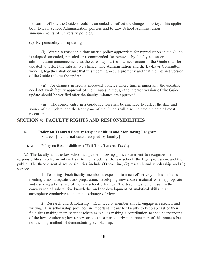indication of how the Guide should be amended to reflect the change in policy. This applies both to Law School Administration policies and to Law School Administration announcements of University policies.

(c) Responsibility for updating

(i) Within a reasonable time after a policy appropriate for reproduction in the Guide is adopted, amended, repealed or recommended for removal, by faculty action or administration announcement, as the case may be, the internet version of the Guide shall be updated to reflect the substantive change. The Administration and the By-Laws Committee working together shall ensure that this updating occurs promptly and that the internet version of the Guide reflects the update.

(ii) For changes in faculty approved policies where time is important, the updating need not await faculty approval of the minutes, although the internet version of the Guide update should be verified after the faculty minutes are approved.

(iii) The source entry in a Guide section shall be amended to reflect the date and source of the update, and the front page of the Guide shall also indicate the date of most recent update.

# **SECTION 4: FACULTY RIGHTS AND RESPONSIBILITIES**

**4.1 Policy on Tenured Faculty Responsibilities and Monitoring Program**  Source: [memo, not dated, adopted by faculty]

#### **4.1.1 Policy on Responsibilities of Full-Time Tenured Faculty**

(a) The faculty and the law school adopt the following policy statement to recognize the responsibilities faculty members have to their students, the law school, the legal profession, and the public. The three essential responsibilities include (1) teaching, (2) research and scholarship, and (3) service.

1. Teaching-Each faculty member is expected to teach effectively. This includes meeting class, adequate class preparation, developing new course material when appropriate and carrying a fair share of the law school offerings. The teaching should result in the conveyance of substantive knowledge and the development of analytical skills in an atmosphere conducive to an open exchange of views.

2. Research and Scholarship-- Each faculty member should engage in research and writing. This scholarship provides an important means for faculty to keep abreast of their field thus making them better teachers as well as making a contribution to the understanding of the law. Authoring law review articles is a particularly important part of this process but not the only method of demonstrating scholarship.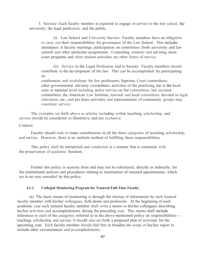3. Service-Each faculty member is expected to engage in service to the law school, the university, the legal profession, and the public.

(i) Law School and University Service- Faculty members have an obligation to carry out their responsibilities for governance of the Law School. This includes attendance at faculty meetings, participation on committees (both university and law school) and other particular assignments. Counseling students and advising moot court programs and other student activities are other forms of service.

(ii) Service to the Legal Profession and to Society- Faculty members should contribute to the development of the law. This can be accomplished by participating in:

conferences and workshops for law professors; Supreme Court committees; other governmental advisory committees; activities of the practicing bar at the local, state or national level including active service on bar committees, law revision committees, the American Law Institute, national and local committees devoted to legal education, etc.; and pro bono activities and representation of community groups may constitute service.

The examples set forth above as articles including within teaching, scholarship, and service should be considered as illustrative and not exclusive.

#### Context:

Faculty should seek to make contributions in all the three categories of teaching, scholarship, and service. However, there is no uniform method of fulfilling these responsibilities.

This policy shall be interpreted and conducted in a manner that is consistent with the preservation of academic freedom.

Further this policy is separate from and may not be substituted, directly or indirectly, for the institutional policies and procedures relating to termination of tenured appointments, which are in no way amended by this policy.

#### **4.1.2 Collegial Monitoring Program for Tenured Full-Time Faculty**

(a) The basic means of monitoring is through the sharing of information by each tenured faculty member with his/her colleagues, both deans and professors. At the beginning of each academic year each tenured faculty member shall write a memo to his/her colleagues describing his/her activities and accomplishments during the preceding year. This memo shall include references to each of the categories referred to in the above-mentioned policy on responsibilities teaching, scholarship and service. It should also set forth a proposed plan of activities for the upcoming year. Each faculty member should feel free to broaden the scope of his/her report to include other circumstances and accomplishments.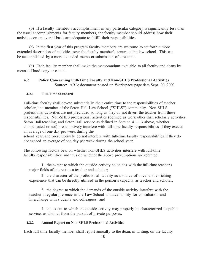(b) If a faculty member's accomplishment in any particular category is significantly less than the usual accomplishments for faculty members, the faculty member should address how their activities on an overall basis are adequate to fulfill their responsibilities.

(c) In the first year of this program faculty members are welcome to set forth a more extended description of activities over the faculty member's tenure at the law school. This can be accomplished by a more extended memo or submission of a resume.

(d) Each faculty member shall make the memorandum available to all faculty and deans by means of hard copy or e-mail.

# **4.2 Policy Concerning Full-Time Faculty and Non-SHLS Professional Activities**  Source: ABA; document posted on Workspace page date Sept. 20, 2003

## **4.2.1 Full-Time Standard**

Full-time faculty shall devote substantially their entire time to the responsibilities of teacher, scholar, and member of the Seton Hall Law School ("SHLS") community. Non-SHLS professional activities are not precluded so long as they do not divert the teacher from these responsibilities. Non-SHLS professional activities (defined as work other than scholarly activities, Seton Hall teaching, and Seton Hall service as defined in Section 4.1.1.3 above, whether compensated or not) presumptively interfere with full-time faculty responsibilities if they exceed an average of one day per week during the

school year, and presumptively do not interfere with full-time faculty responsibilities if they do not exceed an average of one day per week during the school year.

The following factors bear on whether non-SHLS activities interfere with full-time faculty responsibilities, and thus on whether the above presumptions are rebutted:

1. the extent to which the outside activity coincides with the full-time teacher's major fields of interest as a teacher and scholar;

2. the character of the professional activity as a source of novel and enriching experience that can be directly utilized in the person's capacity as teacher and scholar;

3. the degree to which the demands of the outside activity interfere with the teacher's regular presence in the Law School and availability for consultation and interchange with students and colleagues; and

4. the extent to which the outside activity may properly be characterized as public service, as distinct from the pursuit of private purposes.

## **4.2.2 Annual Report on Non-SHLS Professional Activities**

Each full-time faculty member shall report annually to the dean, in writing, on the faculty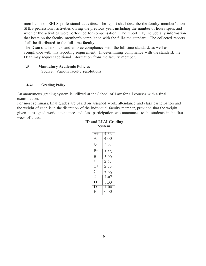member's non-SHLS professional activities. The report shall describe the faculty member's non-SHLS professional activities during the previous year, including the number of hours spent and whether the activities were performed for compensation. The report may include any information that bears on the faculty member's compliance with the full-time standard. The collected reports shall be distributed to the full-time faculty.

The Dean shall monitor and enforce compliance with the full-time standard, as well as compliance with this reporting requirement. In determining compliance with the standard, the Dean may request additional information from the faculty member.

## **4.3 Mandatory Academic Policies**

Source: Various faculty resolutions

### **4.3.1 Grading Policy**

An anonymous grading system is utilized at the School of Law for all courses with a final examination.

For most seminars, final grades are based on assigned work, attendance and class participation and the weight of each is in the discretion of the individual faculty member, provided that the weight given to assigned work, attendance and class participation was announced to the students in the first week of class.

#### **JD and LLM Grading System**

| $A+$         | 4.33 |
|--------------|------|
| $\mathsf{A}$ | 4.00 |
| Ā-           | 3.67 |
| $_{\rm B+}$  | 3.33 |
| B            | 3.00 |
| $R -$        | 2.67 |
| Œ            | 2.33 |
| $\subset$    | 2.00 |
| r.           | 1.67 |
|              | 1.33 |
|              | 1.00 |
| F            | 0.00 |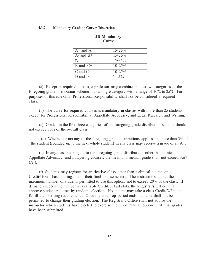#### **4.3.2 Mandatory Grading Curves/Discretion**

| $A^+$ and $A$   | $15 - 25%$  |
|-----------------|-------------|
| $A$ - and $B$ + | $15 - 25%$  |
| $\mathbf{B}$    | $15 - 25%$  |
| B-and C+        | $10 - 25\%$ |
| C and C-        | $10 - 25%$  |
| D and F         | $5 - 15\%$  |

#### **JD Mandatory Curve**

(a) Except in required classes, a professor may combine the last two categories of the foregoing grade distribution scheme into a single category with a range of 10% to 25%. For purposes of this rule only, Professional Responsibility shall not be considered a required class.

(b) The curve for required courses is mandatory in classes with more than 25 students except for Professional Responsibility, Appellate Advocacy, and Legal Research and Writing.

(c) Grades in the first three categories of the foregoing grade distribution scheme should not exceed 70% of the overall class.

(d) Whether or not any of the foregoing grade distributions applies, no more than 3% of the student (rounded up to the next whole student) in any class may receive a grade of an  $A^+$ .

(e) In any class not subject to the foregoing grade distribution, other than clinical, Appellate Advocacy, and Lawyering courses, the mean and median grade shall not exceed 3.67  $(A-)$ .

(f) Students may register for an elective class, other than a clinical course, on a Credit/D/Fail basis during one of their final four semesters. The instructor shall set the maximum number of students permitted to use this option, not to exceed 20% of the class. If demand exceeds the number of available Credit/D/Fail slots, the Registrar's Office will approve student requests by random selection. No student may take a class Credit/D/Fail to fulfill their writing requirements. Once the add/drop period ends, students shall not be permitted to change their grading election. The Registrar's Office shall not advise the instructor which students have elected to exercise the Credit/D/Fail option until final grades have been submitted.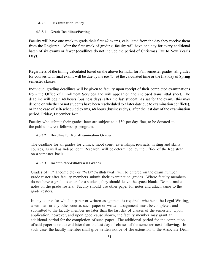### **4.3.3 Examination Policy**

### **4.3.3.1 Grade Deadlines/Posting**

Faculty will have one week to grade their first 42 exams, calculated from the day they receive them from the Registrar. After the first week of grading, faculty will have one day for every additional batch of six exams or fewer (deadlines do not include the period of Christmas Eve to New Year's Day).

Regardless of the timing calculated based on the above formula, for Fall semester grades, all grades for courses with final exams will be due by *the earlier of* the calculated time or the first day of Spring semester classes.

Individual grading deadlines will be given to faculty upon receipt of their completed examinations from the Office of Enrollment Services and will appear on the enclosed transmittal sheet. The deadline will begin 48 hours (business days) after the last student has sat for the exam, (this may depend on whether or not students have been rescheduled to a later date due to examination conflicts), or in the case of self-scheduled exams, 48 hours (business days) after the last day of the examination period, Friday, December 14th.

Faculty who submit their grades later are subject to a \$50 per day fine, to be donated to the public interest fellowship program.

## **4.3.3.2 Deadline for Non-Examination Grades**

The deadline for all grades for clinics, moot court, externships, journals, writing and skills courses, as well as Independent Research, will be determined by the Office of the Registrar on a semester basis.

## **4.3.3.3 Incomplete/Withdrawal Grades**

Grades of "I"(Incomplete) or "WD"(Withdrawal) will be entered on the exam number grade roster after faculty members submit their examination grades. Where faculty members do not have a grade to enter for a student, they should leave the space blank. Do not make notes on the grade rosters. Faculty should use other paper for notes and attach same to the grade rosters.

In any course for which a paper or written assignment is required, whether it be Legal Writing, a seminar, or any other course, such paper or written assignment must be completed and submitted to the faculty member no later than the last day of classes of the semester. Upon application, however, and upon good cause shown, the faculty member may grant an additional period for the completion of such paper. The additional period for the completion of said paper is not to end later than the last day of classes of the semester next following. In such case, the faculty member shall give written notice of the extension to the Associate Dean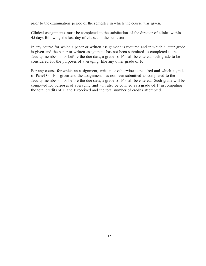prior to the examination period of the semester in which the course was given.

Clinical assignments must be completed to the satisfaction of the director of clinics within 45 days following the last day of classes in the semester.

In any course for which a paper or written assignment is required and in which a letter grade is given and the paper or written assignment has not been submitted as completed to the faculty member on or before the due date, a grade of F shall be entered, such grade to be considered for the purposes of averaging, like any other grade of F.

For any course for which an assignment, written or otherwise, is required and which a grade of Pass/D or F is given and the assignment has not been submitted as completed to the faculty member on or before the due date, a grade of F shall be entered. Such grade will be computed for purposes of averaging and will also be counted as a grade of F in computing the total credits of D and F received and the total number of credits attempted.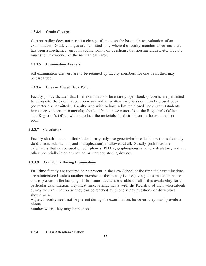### **4.3.3.4 Grade Changes**

Current policy does not permit a change of grade on the basis of a re-evaluation of an examination. Grade changes are permitted only where the faculty member discovers there has been a mechanical error in adding points on questions, transposing grades, etc. Faculty must submit evidence of the mechanical error.

## **4.3.3.5 Examination Answers**

All examination answers are to be retained by faculty members for one year, then may be discarded.

### **4.3.3.6 Open or Closed Book Policy**

Faculty policy dictates that final examinations be entirely open book (students are permitted to bring into the examination room any and all written materials) or entirely closed book (no materials permitted). Faculty who wish to have a limited closed book exam (students have access to certain materials) should submit those materials to the Registrar's Office. The Registrar's Office will reproduce the materials for distribution in the examination room.

## **4.3.3.7 Calculators**

Faculty should mandate that students may only use generic/basic calculators (ones that only do division, subtraction, and multiplication) if allowed at all. Strictly prohibited are calculators that can be used on cell phones, PDA's, graphing/engineering calculators, and any other potentially internet enabled or memory storing devices.

## **4.3.3.8 Availability During Examinations**

Full-time faculty are required to be present in the Law School at the time their examinations are administered unless another member of the faculty is also giving the same examination and is present in the building. If full-time faculty are unable to fulfill this availability for a particular examination, they must make arrangements with the Registrar of their whereabouts during the examination so they can be reached by phone if any questions or difficulties should arise.

Adjunct faculty need not be present during the examination, however, they must provide a phone

number where they may be reached.

#### **4.3.4 Class Attendance Policy**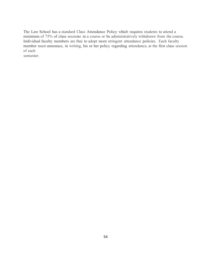The Law School has a standard Class Attendance Policy which requires students to attend a minimum of 75% of class sessions in a course or be administratively withdrawn from the course. Individual faculty members are free to adopt more stringent attendance policies. Each faculty member must announce, in writing, his or her policy regarding attendance, at the first class session of each semester.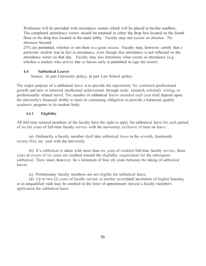Professors will be provided with attendance rosters which will be placed in his/her mailbox. The completed attendance rosters should be returned in either the drop box located on the fourth floor or the drop box located in the main lobby. Faculty may not excuse an absence. No absences beyond

25% are permitted, whether or not there is a good excuse. Faculty may, however, certify that a particular student was in fact in attendance, even though that attendance is not reflected on the attendance roster on that day. Faculty may also determine what counts as attendance (e.g. whether a student who arrives late or leaves early is permitted to sign the roster).

## **4.4 Sabbatical Leaves**

Source: In part University policy, in part Law School policy

The major purpose of a sabbatical leave is to provide the opportunity for continued professional growth and new or renewed intellectual achievement through study, research, scholarly writing, or professionally related travel. The number of sabbatical leaves awarded each year shall depend upon the university's financial ability to meet its continuing obligation to provide a balanced, quality academic program to its student body.

# **4.4.1 Eligibility**

All full-time tenured members of the faculty have the right to apply for sabbatical leave for each period of six (6) years of full-time faculty service with the university, exclusive of time on leave.

(a) Ordinarily, a faculty member shall take sabbatical leave in the seventh, fourteenth, twenty-first, etc. year with the university.

(b) If a sabbatical is taken with more than six years of credited full-time faculty service, those years in excess of six years are credited toward the eligibility requirement for the subsequent sabbatical. There must, however, be a minimum of four (4) years between the taking of sabbatical leaves.

(c) Probationary faculty members are not eligible for sabbatical leave.

(d) Up to two (2) years of faculty service at another accredited institution of higher learning at an unqualified rank may be credited in the letter of appointment toward a faculty member's application for sabbatical leave.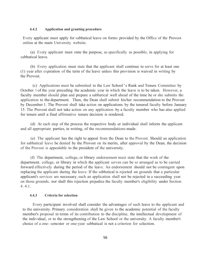#### **4.4.2 Application and granting procedure**

Every applicant must apply for sabbatical leave on forms provided by the Office of the Provost online at the main University website.

(a) Every applicant must state the purpose, as specifically as possible, in applying for sabbatical leave.

(b) Every application must state that the applicant shall continue to serve for at least one (1) year after expiration of the term of the leave unless this provision is waived in writing by the Provost.

(c) Applications must be submitted to the Law School's Rank and Tenure Committee by October 1 of the year preceding the academic year in which the leave is to be taken. However, a faculty member should plan and prepare a sabbatical well ahead of the time he or she submits the application to the department. Then, the Dean shall submit his/her recommendation to the Provost by December 1. The Provost shall take action on applications by the tenured faculty before January 15. The Provost shall not take action on any application by a faculty member who has also applied for tenure until a final affirmative tenure decision is rendered.

(d) At each step of the process the respective body or individual shall inform the applicant and all appropriate parties, in writing, of the recommendations made.

(e) The applicant has the right to appeal from the Dean to the Provost. Should an application for sabbatical leave be denied by the Provost on its merits, after approval by the Dean, the decision of the Provost is appealable to the president of the university.

(f) The department, college, or library endorsement must state that the work of the department, college, or library in which the applicant serves can be so arranged as to be carried forward effectively during the period of the leave. An endorsement should not be contingent upon replacing the applicant during the leave. If the sabbatical is rejected on grounds that a particular applicant's services are necessary, such an application shall not be rejected in a succeeding year on those grounds, nor shall this rejection prejudice the faculty member's eligibility under Section 4 . 4.1.

#### **4.4.3 Criteria for selection**

Every participant involved shall consider the advantages of such leave to the applicant and to the university. Primary consideration shall be given to the academic potential of the faculty member's proposal in terms of its contribution to the discipline, the intellectual development of the individual, or to the strengthening of the Law School or the university. A faculty member's choice of a one- semester or one-year sabbatical is not a criterion for selection.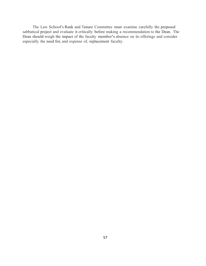The Law School's Rank and Tenure Committee must examine carefully the proposed sabbatical project and evaluate it critically before making a recommendation to the Dean. The Dean should weigh the impact of the faculty member's absence on its offerings and consider especially the need for, and expense of, replacement faculty.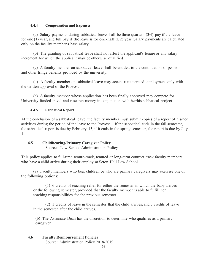### **4.4.4 Compensation and Expenses**

(a) Salary payments during sabbatical leave shall be three-quarters (3/4) pay if the leave is for one  $(1)$  year, and full pay if the leave is for one-half  $(1/2)$  year. Salary payments are calculated only on the faculty member's base salary.

(b) The granting of sabbatical leave shall not affect the applicant's tenure or any salary increment for which the applicant may be otherwise qualified.

(c) A faculty member on sabbatical leave shall be entitled to the continuation of pension and other fringe benefits provided by the university.

(d) A faculty member on sabbatical leave may accept remunerated employment only with the written approval of the Provost.

(e) A faculty member whose application has been finally approved may compete for University-funded travel and research money in conjunction with her/his sabbatical project.

# **4.4.5 Sabbatical Report**

At the conclusion of a sabbatical leave, the faculty member must submit copies of a report of his/her activities during the period of the leave to the Provost. If the sabbatical ends in the fall semester, the sabbatical report is due by February 15; if it ends in the spring semester, the report is due by July 1.

# **4.5 Childbearing/Primary Caregiver Policy**

Source: Law School Administration Policy

This policy applies to full-time tenure-track, tenured or long-term contract track faculty members who have a child arrive during their employ at Seton Hall Law School.

(a) Faculty members who bear children or who are primary caregivers may exercise one of the following options:

(1) 6 credits of teaching relief for either the semester in which the baby arrives or the following semester, provided that the faculty member is able to fulfill her teaching responsibilities for the previous semester.

(2) 3 credits of leave in the semester that the child arrives, and 3 credits of leave in the semester after the child arrives.

(b) The Associate Dean has the discretion to determine who qualifies as a primary caregiver.

# **4.6 Faculty Reimbursement Policies**

Source: Administration Policy 2018-2019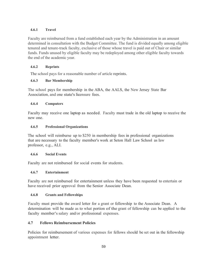# **4.6.1 Travel**

Faculty are reimbursed from a fund established each year by the Administration in an amount determined in consultation with the Budget Committee. The fund is divided equally among eligible tenured and tenure-track faculty, exclusive of those whose travel is paid out of Chair or similar funds. Funds unused by eligible faculty may be redeployed among other eligible faculty towards the end of the academic year.

# **4.6.2 Reprints**

The school pays for a reasonable number of article reprints.

# **4.6.3 Bar Membership**

The school pays for membership in the ABA, the AALS, the New Jersey State Bar Association, and one state's licensure fees.

# **4.6.4 Computers**

Faculty may receive one laptop as needed. Faculty must trade in the old laptop to receive the new one.

# **4.6.5 Professional Organizations**

The school will reimburse up to \$250 in membership fees in professional organizations that are necessary to the faculty member's work at Seton Hall Law School as law professor, e.g., ALI.

## **4.6.6 Social Events**

Faculty are not reimbursed for social events for students.

## **4.6.7 Entertainment**

Faculty are not reimbursed for entertainment unless they have been requested to entertain or have received prior approval from the Senior Associate Dean.

# **4.6.8 Grants and Fellowships**

Faculty must provide the award letter for a grant or fellowship to the Associate Dean. A determination will be made as to what portion of the grant of fellowship can be applied to the faculty member's salary and/or professional expenses.

# **4.7 Fellows Reimbursement Policies**

Policies for reimbursement of various expenses for fellows should be set out in the fellowship appointment letter.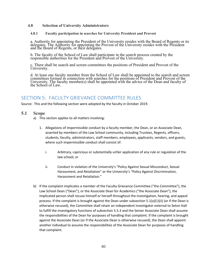#### **4.8 Selection of University Administrators**

#### **4.8.1 Faculty participation in searches for University President and Provost**

a. Authority for appointing the President of the University resides with the Board of Regents or its delegates. The Authority for appointing the Provost of the University resides with the President and the Board of Regents

b. The faculty of the School of Law shall participate in the search process created by the responsible authorities for the President and Provost of the University.

c. There shall be search and screen committees the positions of President and Provost of the University.

d. At least one faculty member from the School of Law shall be appointed to the search and screen committees formed in connection with searches for the positions of President and Provost of the University. The faculty member(s) shall be appointed with the advice of the Dean and faculty of the School of Law.

# SECTION 5: FACULTY GRIEVANCE COMMITTEE RULES

Source: This and the following section were adopted by the faculty in October 2019.

## **5.1 Scope**

- a) This section applies to all matters involving:
	- 1. Allegations of impermissible conduct by a faculty member, the Dean, or an Associate Dean, asserted by members of the Law School community, including Trustees, Regents, officers, students, faculty, administrators, staff members, employees, applicants, vendors, and guests, where such impermissible conduct shall consist of:
		- i. Arbitrary, capricious or substantially unfair application of any rule or regulation of the law school; or
		- ii. Conduct in violation of the University's "Policy Against Sexual Misconduct, Sexual Harassment, and Retaliation" or the University's "Policy Against Discrimination, Harassment and Retaliation."
- b) If the complaint implicates a member of the Faculty Grievance Committee ("the Committee"), the Law School Dean ("Dean"), or the Associate Dean for Academics ("the Associate Dean"), the implicated person shall recuse himself or herself throughout the investigation, hearing, and appeal process. If the complaint is brought against the Dean under subsection  $5.1(a)(1)(ii)$  (or if the Dean is otherwise recused), the Committee shall retain an independent investigator external to Seton Hall to fulfill the investigatory functions of subsection 5.5.3 and the Senior Associate Dean shall assume the responsibilities of the Dean for purposes of handling that complaint. If the complaint is brought against the Associate Dean (or if the Associate Dean is otherwise recused), the Dean shall appoint another individual to assume the responsibilities of the Associate Dean for purposes of handling that complaint.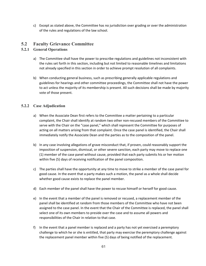c) Except as stated above, the Committee has no jurisdiction over grading or over the administration of the rules and regulations of the law school.

# **5.2 Faculty Grievance Committee**

# **5.2.1 General Operations**

- a) The Committee shall have the power to prescribe regulations and guidelines not inconsistent with the rules set forth in this section, including but not limited to reasonable timelines and limitations not already specified in this section in order to achieve prompt resolution of all complaints.
- b) When conducting general business, such as prescribing generally applicable regulations and guidelines for hearings and other committee proceedings, the Committee shall not have the power to act unless the majority of its membership is present. All such decisions shall be made by majority vote of those present.

# **5.2.2 Case Adjudication**

- a) When the Associate Dean first refers to the Committee a matter pertaining to a particular complaint, the Chair shall identify at random two other non‐recused members of the Committee to serve with the Chair on the "case panel," which shall represent the Committee for purposes of acting on all matters arising from that complaint. Once the case panel is identified, the Chair shall immediately notify the Associate Dean and the parties as to the composition of the panel.
- b) In any case involving allegations of grave misconduct that, if proven, could reasonably support the imposition of suspension, dismissal, or other severe sanction, each party may move to replace one (1) member of the case panel without cause, provided that each party submits his or her motion within five (5) days of receiving notification of the panel composition.
- c) The parties shall have the opportunity at any time to move to strike a member of the case panel for good cause. In the event that a party makes such a motion, the panel as a whole shall decide whether good cause exists to replace the panel member.
- d) Each member of the panel shall have the power to recuse himself or herself for good cause.
- e) In the event that a member of the panel is removed or recused, a replacement member of the panel shall be identified at random from those members of the Committee who have not been assigned to the case panel. In the event that the Chair of the Committee is replaced, the panel shall select one of its own members to preside over the case and to assume all powers and responsibilities of the Chair in relation to that case.
- f) In the event that a panel member is replaced and a party has not yet exercised a peremptory challenge to which he or she is entitled, that party may exercise the peremptory challenge against the replacement panel member within five (5) days of being notified of the replacement.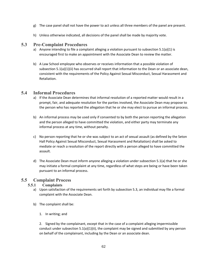- g) The case panel shall not have the power to act unless all three members of the panel are present.
- h) Unless otherwise indicated, all decisions of the panel shall be made by majority vote.

# **5.3 Pre-Complaint Procedures**

- a) Anyone intending to file a complaint alleging a violation pursuant to subsection  $5.1(a)(1)$  is encouraged first to make an appointment with the Associate Dean to review the matter.
- b) A Law School employee who observes or receives information that a possible violation of subsection 5.1(a)(1)(ii) has occurred shall report that information to the Dean or an associate dean, consistent with the requirements of the Policy Against Sexual Misconduct, Sexual Harassment and Retaliation.

# **5.4 Informal Procedures**

- a) If the Associate Dean determines that informal resolution of a reported matter would result in a prompt, fair, and adequate resolution for the parties involved, the Associate Dean may propose to the person who has reported the allegation that he or she may elect to pursue an informal process.
- b) An informal process may be used only if consented to by both the person reporting the allegation and the person alleged to have committed the violation, and either party may terminate any informal process at any time, without penalty.
- c) No person reporting that he or she was subject to an act of sexual assault (as defined by the Seton Hall Policy Against Sexual Misconduct, Sexual Harassment and Retaliation) shall be asked to mediate or reach a resolution of the report directly with a person alleged to have committed the assault.
- d) The Associate Dean must inform anyone alleging a violation under subsection 5.1(a) that he or she may initiate a formal complaint at any time, regardless of what steps are being or have been taken pursuant to an informal process.

# **5.5 Complaint Process**

## **5.5.1 Complaints**

- a) Upon satisfaction of the requirements set forth by subsection 5.3, an individual may file a formal complaint with the Associate Dean.
- b) The complaint shall be:
	- 1. In writing; and

2. Signed by the complainant, except that in the case of a complaint alleging impermissible conduct under subsection 5.1(a)(1)(ii), the complaint may be signed and submitted by any person on behalf of the complainant, including by the Dean or an associate dean.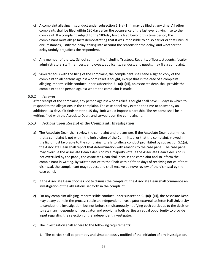- c) A complaint alleging misconduct under subsection  $5.1(a)(1)(ii)$  may be filed at any time. All other complaints shall be filed within 180 days after the occurrence of the last event giving rise to the complaint. If a complaint subject to the 180‐day limit is filed beyond this time period, the complainant must allege facts demonstrating that it was impossible to do so earlier or that unusual circumstances justify the delay, taking into account the reasons for the delay, and whether the delay unduly prejudices the respondent.
- d) Any member of the Law School community, including Trustees, Regents, officers, students, faculty, administrators, staff members, employees, applicants, vendors, and guests, may file a complaint.
- e) Simultaneous with the filing of the complaint, the complainant shall send a signed copy of the complaint to all persons against whom relief is sought, except that in the case of a complaint alleging impermissible conduct under subsection 5.1(a)(1)(ii), an associate dean shall provide the complaint to the person against whom the complaint is made.

### **5.5.2 Answer**

After receipt of the complaint, any person against whom relief is sought shall have 15 days in which to respond to the allegations in the complaint. The case panel may extend the time to answer by an additional 10 days if it finds that the 15‐day limit would impose a hardship. The response shall be in writing, filed with the Associate Dean, and served upon the complainant.

## **5.5.3 Actions upon Receipt of the Complaint; Investigation**

- a) The Associate Dean shall review the complaint and the answer. If the Associate Dean determines that a complaint is not within the jurisdiction of the Committee, or that the complaint, viewed in the light most favorable to the complainant, fails to allege conduct prohibited by subsection 5.1(a), the Associate Dean shall report that determination with reasons to the case panel. The case panel may overrule the Associate Dean's decision by a majority vote. If the Associate Dean's decision is not overruled by the panel, the Associate Dean shall dismiss the complaint and so inform the complainant in writing. By written notice to the Chair within fifteen days of receiving notice of that dismissal, the complainant may request and shall receive de novo review of the dismissal by the case panel.
- b) If the Associate Dean chooses not to dismiss the complaint, the Associate Dean shall commence an investigation of the allegations set forth in the complaint.
- c) For any complaint alleging impermissible conduct under subsection  $5.1(a)(1)(ii)$ , the Associate Dean may at any point in the process retain an independent investigator external to Seton Hall University to conduct the investigation, but not before simultaneously notifying both parties as to the decision to retain an independent investigator and providing both parties an equal opportunity to provide input regarding the selection of the independent investigator.
- d) The investigation shall adhere to the following requirements:
	- 1. The parties shall be promptly and simultaneously notified of the initiation of any investigation.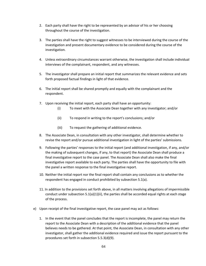- 2. Each party shall have the right to be represented by an advisor of his or her choosing throughout the course of the investigation.
- 3. The parties shall have the right to suggest witnesses to be interviewed during the course of the investigation and present documentary evidence to be considered during the course of the investigation.
- 4. Unless extraordinary circumstances warrant otherwise, the investigation shall include individual interviews of the complainant, respondent, and any witnesses.
- 5. The investigator shall prepare an initial report that summarizes the relevant evidence and sets forth proposed factual findings in light of that evidence.
- 6. The initial report shall be shared promptly and equally with the complainant and the respondent.
- 7. Upon receiving the initial report, each party shall have an opportunity:
	- (i) To meet with the Associate Dean together with any investigator; and/or
	- (ii) To respond in writing to the report's conclusions; and/or
	- (iii) To request the gathering of additional evidence.
- 8. The Associate Dean, in consultation with any other investigator, shall determine whether to revise the report and/or pursue additional investigation in light of the parties' submissions.
- 9. Following the parties' responses to the initial report (and additional investigation, if any, and/or the making of subsequent changes, if any, to that report) the Associate Dean shall produce a final investigative report to the case panel. The Associate Dean shall also make the final investigative report available to each party. The parties shall have the opportunity to file with the panel a written response to the final investigative report.
- 10. Neither the initial report nor the final report shall contain any conclusions as to whether the respondent has engaged in conduct prohibited by subsection 5.1(a).
- 11. In addition to the provisions set forth above, in all matters involving allegations of impermissible conduct under subsection  $5.1(a)(1)(ii)$ , the parties shall be accorded equal rights at each stage of the process.
- e) Upon receipt of the final investigative report, the case panel may act as follows:
	- 1. In the event that the panel concludes that the report is incomplete, the panel may return the report to the Associate Dean with a description of the additional evidence that the panel believes needs to be gathered. At that point, the Associate Dean, in consultation with any other investigator, shall gather the additional evidence required and issue the report pursuant to the procedures set forth in subsection 5.5.3(d)(9).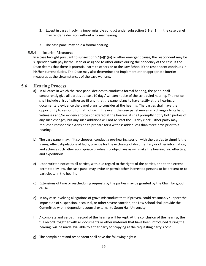- 2. Except in cases involving impermissible conduct under subsection 5.1(a)(1)(ii), the case panel may render a decision without a formal hearing.
- 3. The case panel may hold a formal hearing.

### **5.5.4 Interim Measures**

In a case brought pursuant to subsection  $5.1(a)(1)(ii)$  or other emergent cause, the respondent may be suspended with pay by the Dean or assigned to other duties during the pendency of the case, if the Dean deems that there is potential harm to others or to the Law School if the respondent continues in his/her current duties. The Dean may also determine and implement other appropriate interim measures as the circumstances of the case warrant.

# **5.6 Hearing Process**

- a) In all cases in which the case panel decides to conduct a formal hearing, the panel shall concurrently give all parties at least 10 days' written notice of the scheduled hearing. The notice shall include a list of witnesses (if any) that the panel plans to have testify at the hearing or documentary evidence the panel plans to consider at the hearing. The parties shall have the opportunity to respond to that notice. In the event the case panel makes any changes to its list of witnesses and/or evidence to be considered at the hearing, it shall promptly notify both parties of any such changes, but any such additions will not re-start the 10-day clock. Either party may request a reasonable extension to prepare for a witness added less than three days prior to a hearing.
- b) The case panel may, if it so chooses, conduct a pre‐hearing session with the parties to simplify the issues, effect stipulations of facts, provide for the exchange of documentary or other information, and achieve such other appropriate pre-hearing objectives as will make the hearing fair, effective, and expeditious.
- c) Upon written notice to all parties, with due regard to the rights of the parties, and to the extent permitted by law, the case panel may invite or permit other interested persons to be present or to participate in the hearing.
- d) Extensions of time or rescheduling requests by the parties may be granted by the Chair for good cause.
- e) In any case involving allegations of grave misconduct that, if proven, could reasonably support the imposition of suspension, dismissal, or other severe sanction, the Law School shall provide the Committee with independent counsel external to Seton Hall University.
- f) A complete and verbatim record of the hearing will be kept. At the conclusion of the hearing, the full record, together with all documents or other materials that have been introduced during the hearing, will be made available to either party for copying at the requesting party's cost.
- g) The complainant and respondent shall have the following rights: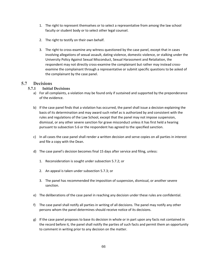- 1. The right to represent themselves or to select a representative from among the law school faculty or student body or to select other legal counsel.
- 2. The right to testify on their own behalf.
- 3. The right to cross-examine any witness questioned by the case panel, except that in cases involving allegations of sexual assault, dating violence, domestic violence, or stalking under the University Policy Against Sexual Misconduct, Sexual Harassment and Retaliation, the respondent may not directly cross‐examine the complainant but rather may instead cross‐ examine the complainant through a representative or submit specific questions to be asked of the complainant by the case panel.

# **5.7 Decisions**

## **5.7.1 Initial Decisions**

- a) For all complaints, a violation may be found only if sustained and supported by the preponderance of the evidence.
- b) If the case panel finds that a violation has occurred, the panel shall issue a decision explaining the basis of its determination and may award such relief as is authorized by and consistent with the rules and regulations of the Law School, except that the panel may not impose suspension, dismissal, or any other severe sanction for grave misconduct unless it has first held a hearing pursuant to subsection 5.6 or the respondent has agreed to the specified sanction.
- c) In all cases the case panel shall render a written decision and serve copies on all parties in interest and file a copy with the Dean.
- d) The case panel's decision becomes final 15 days after service and filing, unless:
	- 1. Reconsideration is sought under subsection 5.7.2; or
	- 2. An appeal is taken under subsection 5.7.3; or
	- 3. The panel has recommended the imposition of suspension, dismissal, or another severe sanction.
- e) The deliberations of the case panel in reaching any decision under these rules are confidential.
- f) The case panel shall notify all parties in writing of all decisions. The panel may notify any other persons whom the panel determines should receive notice of its decisions.
- g) If the case panel proposes to base its decision in whole or in part upon any facts not contained in the record before it*,* the panel shall notify the parties of such facts and permit them an opportunity to comment in writing prior to any decision on the matter.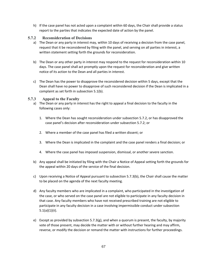h) If the case panel has not acted upon a complaint within 60 days, the Chair shall provide a status report to the parties that indicates the expected date of action by the panel.

## **5.7.2 Reconsideration of Decisions**

- a) The Dean or any party in interest may, within 10 days of receiving a decision from the case panel, request that it be reconsidered by filing with the panel, and serving on all parties in interest, a written statement setting forth the grounds for reconsideration.
- b) The Dean or any other party in interest may respond to the request for reconsideration within 10 days. The case panel shall act promptly upon the request for reconsideration and give written notice of its action to the Dean and all parties in interest.
- c) The Dean has the power to disapprove the reconsidered decision within 5 days, except that the Dean shall have no power to disapprove of such reconsidered decision if the Dean is implicated in a complaint as set forth in subsection 5.1(b).

### **5.7.3 Appeal to the Faculty**

- a) The Dean or any party in interest has the right to appeal a final decision to the faculty in the following cases only:
	- 1. Where the Dean has sought reconsideration under subsection 5.7.2, or has disapproved the case panel's decision after reconsideration under subsection 5.7.2; or
	- 2. Where a member of the case panel has filed a written dissent; or
	- 3. Where the Dean is implicated in the complaint and the case panel renders a final decision; or
	- 4. Where the case panel has imposed suspension, dismissal, or another severe sanction.
- b) Any appeal shall be initiated by filing with the Chair a Notice of Appeal setting forth the grounds for the appeal within 20 days of the service of the final decision.
- c) Upon receiving a Notice of Appeal pursuant to subsection 5.7.3(b), the Chair shall cause the matter to be placed on the agenda of the next faculty meeting.
- d) Any faculty members who are implicated in a complaint, who participated in the investigation of the case, or who served on the case panel are not eligible to participate in any faculty decision in that case. Any faculty members who have not received prescribed training are not eligible to participate in any faculty decision in a case involving impermissible conduct under subsection 5.1(a)(1)(ii).
- e) Except as provided by subsection 5.7.3(g), and when a quorum is present, the faculty, by majority vote of those present, may decide the matter with or without further hearing and may affirm, reverse, or modify the decision or remand the matter with instructions for further proceedings.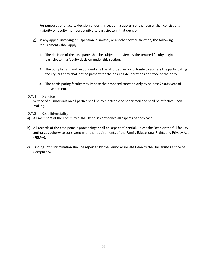- f) For purposes of a faculty decision under this section, a quorum of the faculty shall consist of a majority of faculty members eligible to participate in that decision.
- g) In any appeal involving a suspension, dismissal, or another severe sanction, the following requirements shall apply:
	- 1. The decision of the case panel shall be subject to review by the tenured faculty eligible to participate in a faculty decision under this section.
	- 2. The complainant and respondent shall be afforded an opportunity to address the participating faculty, but they shall not be present for the ensuing deliberations and vote of the body.
	- 3. The participating faculty may impose the proposed sanction only by at least 2/3rds vote of those present.

### **5.7.4 Service**

Service of all materials on all parties shall be by electronic or paper mail and shall be effective upon mailing.

### **5.7.5 Confidentiality**

- a) All members of the Committee shall keep in confidence all aspects of each case.
- b) All records of the case panel's proceedings shall be kept confidential, unless the Dean or the full faculty authorizes otherwise consistent with the requirements of the Family Educational Rights and Privacy Act (FERPA).
- c) Findings of discrimination shall be reported by the Senior Associate Dean to the University's Office of Compliance.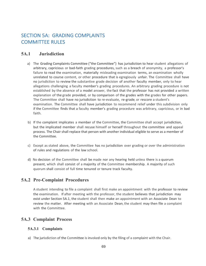# SECTION 5A: GRADING COMPLAINTS COMMITTEE RULES

## **5A.1 Jurisdiction**

- a) The Grading Complaints Committee ("the Committee") has jurisdiction to hear student allegations of arbitrary, capricious or bad-faith grading procedures, such as a breach of anonymity, a professor's failure to read the examination, materially misleading examination terms, an examination wholly unrelated to course content, or other procedure that is egregiously unfair. The Committee shall have no jurisdiction to review the substantive grade decision of another faculty member, only to hear allegations challenging a faculty member's grading procedures. An arbitrary grading procedure is not established by the absence of a model answer, the fact that the professor has not provided a written explanation of the grade provided, or by comparison of the grades with the grades for other papers. The Committee shall have no jurisdiction to re-evaluate, re-grade, or rescore a student's examination. The Committee shall have jurisdiction to recommend relief under this subdivision only if the Committee finds that a faculty member's grading procedure was arbitrary, capricious, or in bad faith.
- b) If the complaint implicates a member of the Committee, the Committee shall accept jurisdiction, but the implicated member shall recuse himself or herself throughout the committee and appeal process. The Chair shall replace that person with another individual eligible to serve as a member of the Committee.
- c) Except as stated above, the Committee has no jurisdiction over grading or over the administration of rules and regulations of the law school.
- d) No decision of the Committee shall be made nor any hearing held unless there is a quorum present, which shall consist of a majority of the Committee membership. A majority of such quorum shall consist of full time tenured or tenure track faculty.

## **5A.2 Pre-Complaint Procedures**

A student intending to file a complaint shall first make an appointment with the professor to review the examination. If after meeting with the professor, the student believes that jurisdiction may exist under Section 5A.1, the student shall then make an appointment with an Associate Dean to review the matter. After meeting with an Associate Dean, the student may then file a complaint with the Committee.

## **5A.3 Complaint Process**

### **5A.3.1 Complaints**

a) The jurisdiction of the Committee is invoked only by the filing of a complaint with the Chair.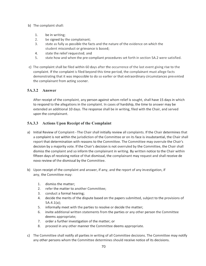#### b) The complaint shall:

- 1. be in writing;
- 2. be signed by the complainant;
- 3. state as fully as possible the facts and the nature of the evidence on which the student misconduct or grievance is based;
- 4. state the relief requested; and
- 5. state how and when the pre-compliant procedures set forth in section 5A.2 were satisfied.
- c) The complaint shall be filed within 60 days after the occurrence of the last event giving rise to the complaint. If the complaint is filed beyond this time period, the complainant must allege facts demonstrating that it was impossible to do so earlier or that extraordinary circumstances prevented the complainant from acting sooner.

## **5A.3.2 Answer**

After receipt of the complaint, any person against whom relief is sought, shall have 15 days in which to respond to the allegations in the complaint. In cases of hardship, the time to answer may be extended an additional 10 days. The response shall be in writing, filed with the Chair, and served upon the complainant.

## **5A.3.3 Actions Upon Receipt of the Complaint**

- a) Initial Review of Complaint–The Chair shall initially review all complaints. If the Chair determines that a complaint is not within the jurisdiction of the Committee or on its face is insubstantial, the Chair shall report that determination with reasons to the Committee. The Committee may overrule the Chair's decision by a majority vote. If the Chair's decision is not overruled by the Committee, the Chair shall dismiss the complaint and so inform the complainant in writing. By written notice to the Chair within fifteen days of receiving notice of that dismissal, the complainant may request and shall receive de novo review of the dismissal by the Committee.
- b) Upon receipt of the complaint and answer, if any, and the report of any investigation, if any, the Committee may:
	- 1. dismiss the matter;
	- 2. refer the matter to another Committee;
	- 3. conduct a formal hearing;
	- 4. decide the merits of the dispute based on the papers submitted, subject to the provisions of 5A.4.1(a);
	- 5. informally meet with the parties to resolve or decide the matter;
	- 6. invite additional written statements from the parties or any other person the Committee deems appropriate;
	- 7. order a further investigation of the matter; or
	- 8. proceed in any other manner the Committee deems appropriate.
- c) The Committee shall notify all parties in writing of all Committee decisions. The Committee may notify any other persons whom the Committee determines should receive notice of its decisions.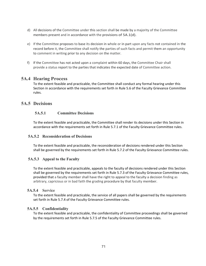- d) All decisions of the Committee under this section shall be made by a majority of the Committee members present and in accordance with the provisions of 5A.1(d).
- e) If the Committee proposes to base its decision in whole or in part upon any facts not contained in the record before it, the Committee shall notify the parties of such facts and permit them an opportunity to comment in writing prior to any decision on the matter.
- f) If the Committee has not acted upon a complaint within 60 days, the Committee Chair shall provide a status report to the parties that indicates the expected date of Committee action.

## **5A.4 Hearing Process**

To the extent feasible and practicable, the Committee shall conduct any formal hearing under this Section in accordance with the requirements set forth in Rule 5.6 of the Faculty Grievance Committee rules.

## **5A.5 Decisions**

### **5A.5.1 Committee Decisions**

To the extent feasible and practicable, the Committee shall render its decisions under this Section in accordance with the requirements set forth in Rule 5.7.1 of the Faculty Grievance Committee rules.

#### **5A.5.2 Reconsideration of Decisions**

To the extent feasible and practicable, the reconsideration of decisions rendered under this Section shall be governed by the requirements set forth in Rule 5.7.2 of the Faculty Grievance Committee rules.

### **5A.5.3 Appeal to the Faculty**

To the extent feasible and practicable, appeals to the faculty of decisions rendered under this Section shall be governed by the requirements set forth in Rule 5.7.3 of the Faculty Grievance Committee rules, provided that a faculty member shall have the right to appeal to the faculty a decision finding as arbitrary, capricious or in bad faith the grading procedure by that faculty member.

#### **5A.5.4 Service**

To the extent feasible and practicable, the service of all papers shall be governed by the requirements set forth in Rule 5.7.4 of the Faculty Grievance Committee rules.

#### **5A.5.5 Confidentiality**

To the extent feasible and practicable, the confidentiality of Committee proceedings shall be governed by the requirements set forth in Rule 5.7.5 of the Faculty Grievance Committee rules.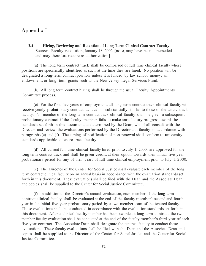## Appendix I

**2.4 Hiring, Reviewing and Retention of Long Term Clinical Contract Faculty**  Source: Faculty resolution, January 18, 2002 [note, may have been superseded and may therefore require re-authorization]

(a) The long term contract track shall be comprised of full time clinical faculty whose positions are specifically identified as such at the time they are hired. No position will be designated a long-term contract position unless it is funded by law school money, an endowment, or long- term grants such as the New Jersey Legal Services Fund.

(b) All long term contract hiring shall be through the usual Faculty Appointments Committee process.

(c) For the first five years of employment, all long term contract track clinical faculty will receive yearly probationary contract identical or substantially similar to those of the tenure track faculty. No member of the long term contract track clinical faculty shall be given a subsequent probationary contract if the faculty member fails to make satisfactory progress toward the standards set forth in this document, as determined by the Dean, who shall consult with the Director and review the evaluations performed by the Director and faculty in accordance with paragraphs (e) and (f). The timing of notification of non-renewal shall conform to university standards applicable to tenure track faculty.

(d) All current full time clinical faculty hired prior to July 1, 2000, are approved for the long term contract track and shall be given credit, at their option, towards their initial five year probationary period for any of their years of full time clinical employment prior to July 1, 2000.

(e) The Director of the Center for Social Justice shall evaluate each member of the long term contract clinical faculty on an annual basis in accordance with the evaluation standards set forth in this document. These evaluations shall be filed with the Dean and the Associate Dean and copies shall be supplied to the Center for Social Justice Committee.

(f) In addition to the Director's annual evaluation, each member of the long term contract clinical faculty shall be evaluated at the end of the faculty member's second and fourth year in the initial five year probationary period by a two member team of the tenured faculty. These evaluations shall be conducted in accordance with the evaluation standards set forth in this document. After a clinical faculty member has been awarded a long term contract, the two member faculty evaluation shall be conducted at the end of the faculty member's third year of each five year contract. The Associate Dean shall designate the tenured faculty to conduct these evaluations. These faculty evaluations shall be filed with the Dean and the Associate Dean and copies shall be supplied to the Director of the Center for Social Justice and the Center for Social Justice Committee.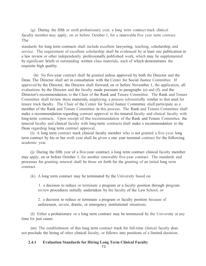(g) During the fifth or sixth probationary year, a long term contract track clinical faculty member may apply, on or before October 1, for a renewable five year term contract. The

standards for long term contracts shall include excellent lawyering, teaching, scholarship, and service. The requirement of excellent scholarship shall be evidenced by at least one publication in a law review or other independently professionally published work, which may be supplemented by significant briefs or outstanding written class materials, each of which demonstrates the requisite high quality.

(h) No five-year contract shall be granted unless approved by both the Director and the Dean. The Director shall act in consultation with the Center for Social Justice Committee. If approved by the Director, the Director shall forward, on or before November 1, the application, all evaluations by the Director and the faculty made pursuant to paragraphs (e) and (f), and the Director's recommendation, to the Chair of the Rank and Tenure Committee. The Rank and Tenure Committee shall review these materials, employing a process substantially similar to that used for tenure track faculty. The Chair of the Center for Social Justice Committee shall participate as a member of the Rank and Tenure Committee in this process. The Rank and Tenure Committee shall make a recommendation regarding contract approval to the tenured faculty and clinical faculty with long-term contracts. Upon receipt of the recommendation of the Rank and Tenure Committee, the tenured faculty and clinical faculty with long-term contracts shall make a recommendation to the Dean regarding long term contract approval.

(i) A long term contract track clinical faculty member who is not granted a five-year long term contract by his or her sixth year shall be given a one year terminal contract for the following academic year.

(j) During the fifth year of a five-year contract, a long term contract clinical faculty member may apply, on or before October 1, for another renewable five-year contract. The standards and processes for granting renewal shall be those set forth for the granting of an initial long term contract.

(k) A long term contract may be terminated by the University based on

1. a decision to reduce or terminate a program or a faculty position through program review procedures initially undertaken by the faculty of the Law School, or

2. a decision to reduce or terminate a program or faculty position because of unforeseen, severe, drastic, or emergency institutional situations.

(l) Either a probationary or a long term contract may be terminated by the University at any time for just cause.

(m) The establishment of this long term contract track for full-time clinical faculty does not preclude the hiring of other clinical faculty, or fellows into positions of a limited duration.

### **2.4.1 Evaluation Standards for Hiring Long Term Clinical Faculty**

73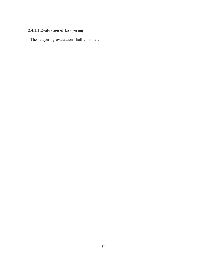# **2.4.1.1 Evaluation of Lawyering**

The lawyering evaluation shall consider: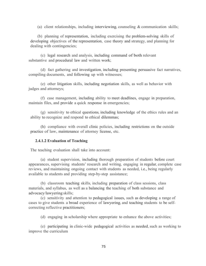(a) client relationships, including interviewing, counseling & communication skills;

(b) planning of representation, including exercising the problem-solving skills of developing objectives of the representation, case theory and strategy, and planning for dealing with contingencies;

(c) legal research and analysis, including command of both relevant substantive and procedural law and written work;

(d) fact gathering and investigation, including presenting persuasive fact narratives, compiling documents, and following up with witnesses;

(e) other litigation skills, including negotiation skills, as well as behavior with judges and attorneys;

(f) case management, including ability to meet deadlines, engage in preparation, maintain files, and provide a quick response in emergencies;

(g) sensitivity to ethical questions, including knowledge of the ethics rules and an ability to recognize and respond to ethical dilemmas;

(h) compliance with overall clinic policies, including restrictions on the outside practice of law, maintenance of attorney license, etc.

#### **2.4.1.2 Evaluation of Teaching**

The teaching evaluation shall take into account:

(a) student supervision, including thorough preparation of students before court appearances, supervising students' research and writing, engaging in regular, complete case reviews, and maintaining ongoing contact with students as needed, i.e., being regularly available to students and providing step-by-step assistance;

(b) classroom teaching skills, including preparation of class sessions, class materials, and syllabus, as well as a balancing the teaching of both substance and advocacy/lawyering skills;

(c) sensitivity and attention to pedagogical issues, such as developing a range of cases to give students a broad experience of lawyering, and teaching students to be selfcorrecting reflective practitioners;

(d) engaging in scholarship where appropriate to enhance the above activities;

(e) participating in clinic-wide pedagogical activities as needed, such as working to improve the curriculum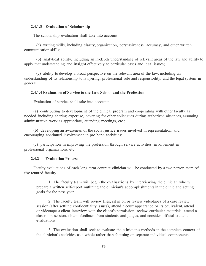#### **2.4.1.3 Evaluation of Scholarship**

The scholarship evaluation shall take into account:

(a) writing skills, including clarity, organization, persuasiveness, accuracy, and other written communication skills;

(b) analytical ability, including an in-depth understanding of relevant areas of the law and ability to apply that understanding and insight effectively to particular cases and legal issues;

(c) ability to develop a broad perspective on the relevant area of the law, including an understanding of its relationship to lawyering, professional role and responsibility, and the legal system in general

#### **2.4.1.4 Evaluation of Service to the Law School and the Profession**

Evaluation of service shall take into account:

(a) contributing to development of the clinical program and cooperating with other faculty as needed, including sharing expertise, covering for other colleagues during authorized absences, assuming administrative work as appropriate, attending meetings, etc.;

(b) developing an awareness of the social justice issues involved in representation, and encouraging continued involvement in pro bono activities;

(c) participation in improving the profession through service activities, involvement in professional organizations, etc.

#### **2.4.2 Evaluation Process**

Faculty evaluations of each long term contract clinician will be conducted by a two person team of the tenured faculty.

1. The faculty team will begin the evaluations by interviewing the clinician who will prepare a written self-report outlining the clinician's accomplishments in the clinic and setting goals for the next year.

2. The faculty team will review files, sit in on or review videotapes of a case review session (after settling confidentiality issues), attend a court appearance or its equivalent, attend or videotape a client interview with the client's permission, review curricular materials, attend a classroom session, obtain feedback from students and judges, and consider official student evaluations.

3. The evaluation shall seek to evaluate the clinician's methods in the complete context of the clinician's activities as a whole rather than focusing on separate individual components.